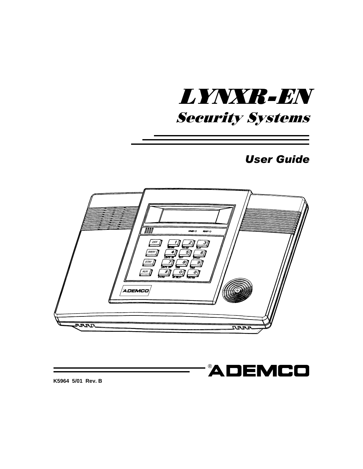# LYNXR-EN **Security Systems**

### **User Guide**





**K5964 5/01 Rev. B**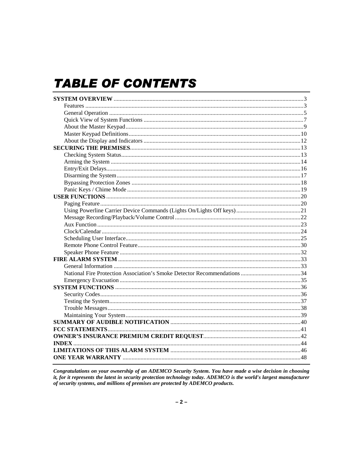## **TABLE OF CONTENTS**

Congratulations on your ownership of an ADEMCO Security System. You have made a wise decision in choosing it, for it represents the latest in security protection technology today. ADEMCO is the world's largest manufacturer of security systems, and millions of premises are protected by ADEMCO products.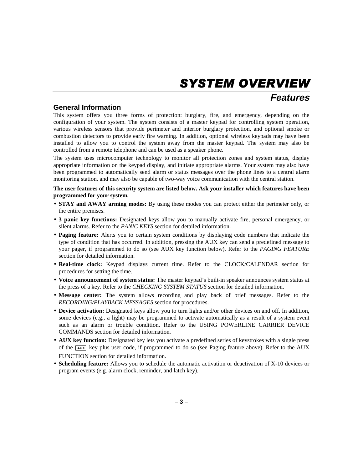**Features** 

### **General Information**

This system offers you three forms of protection: burglary, fire, and emergency, depending on the configuration of your system. The system consists of a master keypad for controlling system operation, various wireless sensors that provide perimeter and interior burglary protection, and optional smoke or combustion detectors to provide early fire warning. In addition, optional wireless keypads may have been installed to allow you to control the system away from the master keypad. The system may also be controlled from a remote telephone and can be used as a speaker phone.

The system uses microcomputer technology to monitor all protection zones and system status, display appropriate information on the keypad display, and initiate appropriate alarms. Your system may also have been programmed to automatically send alarm or status messages over the phone lines to a central alarm monitoring station, and may also be capable of two-way voice communication with the central station.

#### **The user features of this security system are listed below. Ask your installer which features have been programmed for your system.**

- **STAY and AWAY arming modes:** By using these modes you can protect either the perimeter only, or the entire premises.
- **3 panic key functions:** Designated keys allow you to manually activate fire, personal emergency, or silent alarms. Refer to the *PANIC KEYS* section for detailed information.
- **Paging feature:** Alerts you to certain system conditions by displaying code numbers that indicate the type of condition that has occurred. In addition, pressing the AUX key can send a predefined message to your pager, if programmed to do so (see AUX key function below). Refer to the *PAGING FEATURE* section for detailed information.
- **Real-time clock:** Keypad displays current time. Refer to the CLOCK/CALENDAR section for procedures for setting the time.
- **Voice announcement of system status:** The master keypad's built-in speaker announces system status at the press of a key. Refer to the *CHECKING SYSTEM STATUS* section for detailed information.
- **Message center:** The system allows recording and play back of brief messages. Refer to the *RECORDING/PLAYBACK MESSAGES* section for procedures.
- **Device activation:** Designated keys allow you to turn lights and/or other devices on and off. In addition, some devices (e.g., a light) may be programmed to activate automatically as a result of a system event such as an alarm or trouble condition. Refer to the USING POWERLINE CARRIER DEVICE COMMANDS section for detailed information.
- **AUX key function:** Designated key lets you activate a predefined series of keystrokes with a single press of the **AUX** key plus user code, if programmed to do so (see Paging feature above). Refer to the AUX FUNCTION section for detailed information.
- **Scheduling feature:** Allows you to schedule the automatic activation or deactivation of X-10 devices or program events (e.g. alarm clock, reminder, and latch key).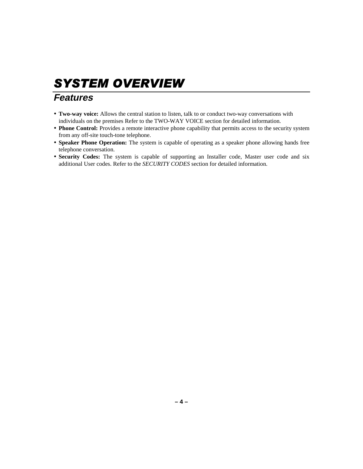### **Features**

- **Two-way voice:** Allows the central station to listen, talk to or conduct two-way conversations with individuals on the premises Refer to the TWO-WAY VOICE section for detailed information.
- **Phone Control:** Provides a remote interactive phone capability that permits access to the security system from any off-site touch-tone telephone.
- **Speaker Phone Operation:** The system is capable of operating as a speaker phone allowing hands free telephone conversation.
- **Security Codes:** The system is capable of supporting an Installer code, Master user code and six additional User codes. Refer to the *SECURITY CODES* section for detailed information.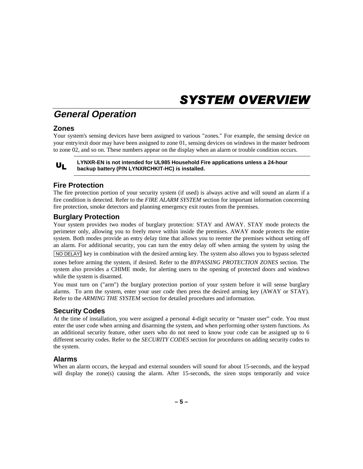### **General Operation**

### **Zones**

Your system's sensing devices have been assigned to various "zones." For example, the sensing device on your entry/exit door may have been assigned to zone 01, sensing devices on windows in the master bedroom to zone 02, and so on. These numbers appear on the display when an alarm or trouble condition occurs.



#### **LYNXR-EN is not intended for UL985 Household Fire applications unless a 24-hour backup battery (P/N LYNXRCHKIT-HC) is installed.**

### **Fire Protection**

The fire protection portion of your security system (if used) is always active and will sound an alarm if a fire condition is detected. Refer to the *FIRE ALARM SYSTEM* section for important information concerning fire protection, smoke detectors and planning emergency exit routes from the premises.

### **Burglary Protection**

Your system provides two modes of burglary protection: STAY and AWAY. STAY mode protects the perimeter only, allowing you to freely move within inside the premises. AWAY mode protects the entire system. Both modes provide an entry delay time that allows you to reenter the premises without setting off an alarm. For additional security, you can turn the entry delay off when arming the system by using the NO DELAY key in combination with the desired arming key. The system also allows you to bypass selected zones before arming the system, if desired. Refer to the *BYPASSING PROTECTION ZONES* section. The system also provides a CHIME mode, for alerting users to the opening of protected doors and windows

while the system is disarmed.

You must turn on ("arm") the burglary protection portion of your system before it will sense burglary alarms. To arm the system, enter your user code then press the desired arming key (AWAY or STAY). Refer to the *ARMING THE SYSTEM* section for detailed procedures and information.

### **Security Codes**

At the time of installation, you were assigned a personal 4-digit security or "master user" code. You must enter the user code when arming and disarming the system, and when performing other system functions. As an additional security feature, other users who do not need to know your code can be assigned up to 6 different security codes. Refer to the *SECURITY CODES* section for procedures on adding security codes to the system.

### **Alarms**

When an alarm occurs, the keypad and external sounders will sound for about 15-seconds, and the keypad will display the zone(s) causing the alarm. After 15-seconds, the siren stops temporarily and voice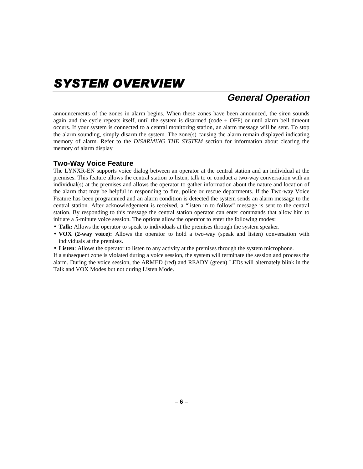### **General Operation**

announcements of the zones in alarm begins. When these zones have been announced, the siren sounds again and the cycle repeats itself, until the system is disarmed (code + OFF) or until alarm bell timeout occurs. If your system is connected to a central monitoring station, an alarm message will be sent. To stop the alarm sounding, simply disarm the system. The zone(s) causing the alarm remain displayed indicating memory of alarm. Refer to the *DISARMING THE SYSTEM* section for information about clearing the memory of alarm display

### **Two-Way Voice Feature**

The LYNXR-EN supports voice dialog between an operator at the central station and an individual at the premises. This feature allows the central station to listen, talk to or conduct a two-way conversation with an individual(s) at the premises and allows the operator to gather information about the nature and location of the alarm that may be helpful in responding to fire, police or rescue departments. If the Two-way Voice Feature has been programmed and an alarm condition is detected the system sends an alarm message to the central station. After acknowledgement is received, a "listen in to follow" message is sent to the central station. By responding to this message the central station operator can enter commands that allow him to initiate a 5-minute voice session. The options allow the operator to enter the following modes:

- **Talk:** Allows the operator to speak to individuals at the premises through the system speaker.
- **VOX (2-way voice):** Allows the operator to hold a two-way (speak and listen) conversation with individuals at the premises.
- **Listen**: Allows the operator to listen to any activity at the premises through the system microphone.

If a subsequent zone is violated during a voice session, the system will terminate the session and process the alarm. During the voice session, the ARMED (red) and READY (green) LEDs will alternately blink in the Talk and VOX Modes but not during Listen Mode.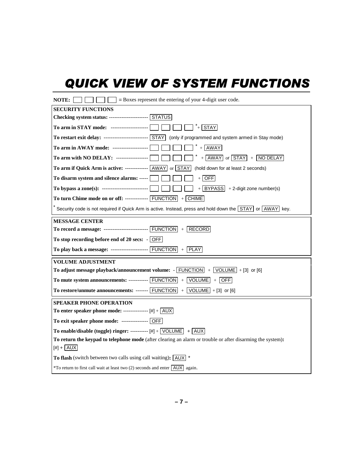## QUICK VIEW OF SYSTEM FUNCTIONS

| NOTE:<br>= Boxes represent the entering of your 4-digit user code.                                                                                                   |
|----------------------------------------------------------------------------------------------------------------------------------------------------------------------|
| <b>SECURITY FUNCTIONS</b>                                                                                                                                            |
| Checking system status: ---------------------- [STATUS]                                                                                                              |
| $+$ STAY<br>To arm in STAY mode: ----------------------                                                                                                              |
| To restart exit delay: -------------------------- STAY (only if programmed and system armed in Stay mode)                                                            |
| $+$ AWAY<br>To arm in AWAY mode: --------------------                                                                                                                |
| To arm with NO DELAY: ------------------<br>$\boxed{\text{AWAY}}$ or $\boxed{\text{STAY}}$ + $\boxed{\text{NO DELAY}}$<br>$+$                                        |
| To arm if Quick Arm is active: ------------- AWAY or STAY (hold down for at least 2 seconds)                                                                         |
| $+$ OFF<br>To disarm system and silence alarms: -----                                                                                                                |
| $+$ BYPASS + 2-digit zone number(s)                                                                                                                                  |
| To turn Chime mode on or off: ------------- $\boxed{\text{FUNCTION}}$ + $\boxed{\text{CHIME}}$                                                                       |
| Security code is not required if Quick Arm is active. Instead, press and hold down the STAY or AWAY key.                                                             |
| <b>MESSAGE CENTER</b>                                                                                                                                                |
| To record a message: --------------------------- $\boxed{\text{FUNCTION}}$ + $\boxed{\text{RECORD}}$                                                                 |
|                                                                                                                                                                      |
| To stop recording before end of 20 secs: - OFF                                                                                                                       |
| To play back a message: ----------------------- $\boxed{\text{FUNCTION}}$ + $\boxed{\text{PLAN}}$                                                                    |
| <b>VOLUME ADJUSTMENT</b>                                                                                                                                             |
| To adjust message playback/announcement volume: $-FUNCTION$ + $VOLUME$ + [3] or [6]                                                                                  |
| To mute system announcements: ----------- $\boxed{\text{FUNCTION}}$ + $\boxed{\text{VOLUME}}$ + $\boxed{\text{OFF}}$                                                 |
| To restore/unmute announcements: ------- $\boxed{\text{FUNCTION}}$ + $\boxed{\text{VOLUME}}$ + [3] or [6]                                                            |
| <b>SPEAKER PHONE OPERATION</b>                                                                                                                                       |
| To enter speaker phone mode: --------------- $[\#] + \sqrt{AUX}$                                                                                                     |
| To exit speaker phone mode: --------------- OFF                                                                                                                      |
| To enable/disable (toggle) ringer: ---------- [#] + $\sqrt{\text{OLUME}}$ + $\sqrt{\text{AUX}}$                                                                      |
| To return the keypad to telephone mode (after clearing an alarm or trouble or after disarming the system):                                                           |
| $[#] +$ AUX                                                                                                                                                          |
| <b>To flash</b> (switch between two calls using call waiting): AUX *<br>*To return to first call wait at least two (2) seconds and enter $\boxed{\text{AUX}}$ again. |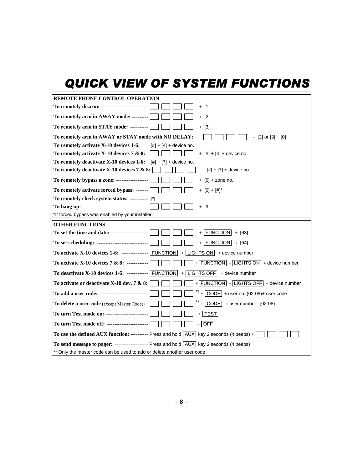## QUICK VIEW OF SYSTEM FUNCTIONS

| <b>REMOTE PHONE CONTROL OPERATION</b>                                                                   |
|---------------------------------------------------------------------------------------------------------|
| To remotely disarm: --------------------------<br>$+ [1]$                                               |
| To remotely arm in AWAY mode: ---------<br>$+$ [2]                                                      |
| To remotely arm in STAY mode: ----------<br>$+ [3]$                                                     |
| To remotely arm in AWAY or STAY mode with NO DELAY:<br>$+$ [2] or [3] + [0]                             |
| To remotely activate X-10 devices 1-6: --- $[\#] + [4] +$ device no.                                    |
| To remotely activate X-10 devices 7 & 8:<br>$+$ [#] + [4] + device no.                                  |
| To remotely deactivate X-10 devices 1-6:<br>$[#] + [7] +$ device no.                                    |
| To remotely deactivate X-10 devices 7 & 8:<br>$+$ [#] + [7] + device no.                                |
| To remotely bypass a zone: -------------------<br>$+$ [6] + zone no.                                    |
| To remotely activate forced bypass: -------<br>$+$ [6] + [#]*                                           |
| To remotely check system status: ---------- [*]                                                         |
| $+ [9]$                                                                                                 |
| *If forced bypass was enabled by your installer.                                                        |
| <b>OTHER FUNCTIONS</b>                                                                                  |
| To set the time and date: ---------------------<br>$+$ FUNCTION $+$ [63]                                |
| $+$ FUNCTION + [64]<br>To set scheduling: -----------------------------                                 |
| To activate $X-10$ devices $1-6$ : --------------- FUNCTION<br>$+$ LIGHTS ON $+$ device number          |
| To activate X-10 devices 7 & 8: ------------<br>+ $\boxed{\text{FUNCTION}}$ + LIGHTS ON + device number |
| To deactivate X-10 devices 1-6: ------------- $\boxed{\text{FUNCTION}}$ + LIGHTS OFF + device number    |
| $+$ FUNCTION $ $ + LIGHTS OFF $ $ + device number<br>To activate or deactivate X-10 dev. 7 & 8:         |
| $+$ CODE + user no. (02-08)+ user code<br>To add a user code: -------------------------                 |
| $+$ CODE + user number (02-08)<br>To delete a user code (except Master Code): -                         |
| To turn Test mode on: ------------------------<br>$+$ TEST                                              |
| To turn Test mode off: -----------------------<br>$+$ OFF                                               |
| To use the defined AUX function: ---------- Press and hold $\overline{[AUX]}$ key 2 seconds (4 beeps) + |
| To send message to pager: ------------------- Press and hold AUX key 2 seconds (4 beeps)                |
| ** Only the master code can be used to add or delete another user code.                                 |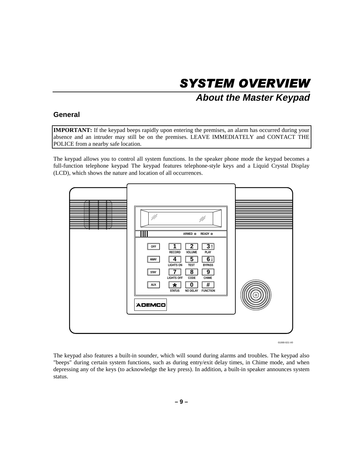### **About the Master Keypad**

### **General**

**IMPORTANT:** If the keypad beeps rapidly upon entering the premises, an alarm has occurred during your absence and an intruder may still be on the premises. LEAVE IMMEDIATELY and CONTACT THE POLICE from a nearby safe location.

The keypad allows you to control all system functions. In the speaker phone mode the keypad becomes a full-function telephone keypad The keypad features telephone-style keys and a Liquid Crystal Display (LCD), which shows the nature and location of all occurrences.



01000-021-V0

The keypad also features a built-in sounder, which will sound during alarms and troubles. The keypad also "beeps" during certain system functions, such as during entry/exit delay times, in Chime mode, and when depressing any of the keys (to acknowledge the key press). In addition, a built-in speaker announces system status.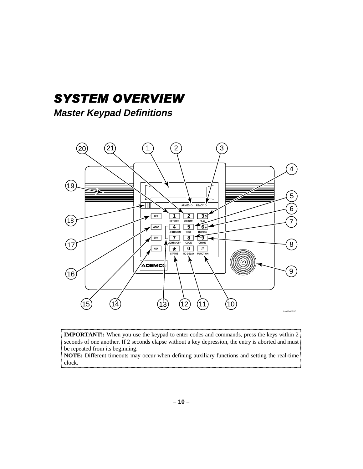**Master Keypad Definitions** 



**IMPORTANT!:** When you use the keypad to enter codes and commands, press the keys within 2 seconds of one another. If 2 seconds elapse without a key depression, the entry is aborted and must be repeated from its beginning.

**NOTE:** Different timeouts may occur when defining auxiliary functions and setting the real-time clock.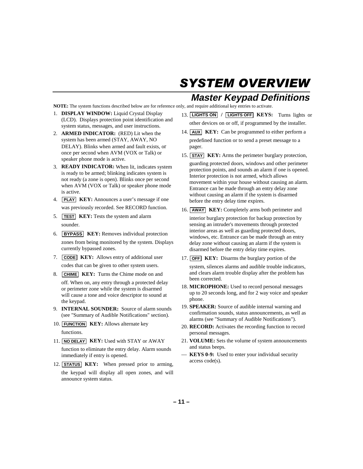**NOTE:** The system functions described below are for reference only, and require additional key entries to activate.

- 1. **DISPLAY WINDOW:** Liquid Crystal Display (LCD). Displays protection point identification and system status, messages, and user instructions.
- 2. **ARMED INDICATOR:** (RED) Lit when the system has been armed (STAY, AWAY, NO DELAY). Blinks when armed and fault exists, or once per second when AVM (VOX or Talk) or speaker phone mode is active.
- 3. **READY INDICATOR:** When lit, indicates system is ready to be armed; blinking indicates system is not ready (a zone is open). Blinks once per second when AVM (VOX or Talk) or speaker phone mode is active.
- 4. **PLAY KEY:** Announces a user's message if one was previously recorded. See RECORD function.
- 5. **TEST KEY:** Tests the system and alarm sounder.
- 6. **BYPASS KEY:** Removes individual protection zones from being monitored by the system. Displays currently bypassed zones.
- 7. **CODE KEY:** Allows entry of additional user codes that can be given to other system users.
- 8. **CHIME KEY:** Turns the Chime mode on and

off. When on, any entry through a protected delay or perimeter zone while the system is disarmed will cause a tone and voice descriptor to sound at the keypad.

- 9. **INTERNAL SOUNDER:** Source of alarm sounds (see "Summary of Audible Notifications" section).
- 10. **FUNCTION KEY:** Allows alternate key functions.
- 11. **NO DELAY KEY:** Used with STAY or AWAY function to eliminate the entry delay. Alarm sounds immediately if entry is opened.
- 12. **STATUS KEY:** When pressed prior to arming, the keypad will display all open zones, and will announce system status.

13. **LIGHTS ON / LIGHTS OFF KEYS:** Turns lights or other devices on or off, if programmed by the installer.

**Master Keypad Definitions** 

- 14. **AUX KEY:** Can be programmed to either perform a predefined function or to send a preset message to a pager.
- 15. **STAY KEY:** Arms the perimeter burglary protection, guarding protected doors, windows and other perimeter protection points, and sounds an alarm if one is opened. Interior protection is not armed, which allows movement within your house without causing an alarm. Entrance can be made through an entry delay zone without causing an alarm if the system is disarmed before the entry delay time expires.
- 16. **AWAY KEY:** Completely arms both perimeter and interior burglary protection for backup protection by sensing an intruder's movements through protected interior areas as well as guarding protected doors, windows, etc. Entrance can be made through an entry delay zone without causing an alarm if the system is disarmed before the entry delay time expires.
- 17. **OFF KEY:** Disarms the burglary portion of the system, silences alarms and audible trouble indicators, and clears alarm trouble display after the problem has been corrected.
- 18. **MICROPHONE:** Used to record personal messages up to 20 seconds long, and for 2 way voice and speaker phone.
- 19. **SPEAKER:** Source of audible internal warning and confirmation sounds, status announcements, as well as alarms (see "Summary of Audible Notifications").
- 20. **RECORD:** Activates the recording function to record personal messages.
- 21. **VOLUME:** Sets the volume of system announcements and status beeps.
- **KEYS 0-9:** Used to enter your individual security access code(s).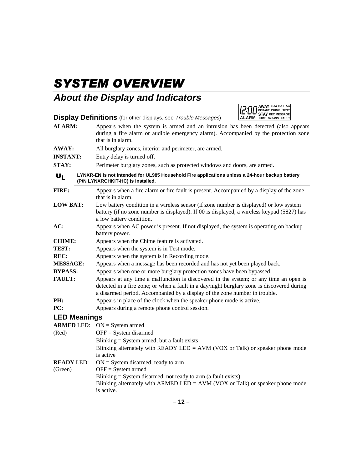### **About the Display and Indicators**

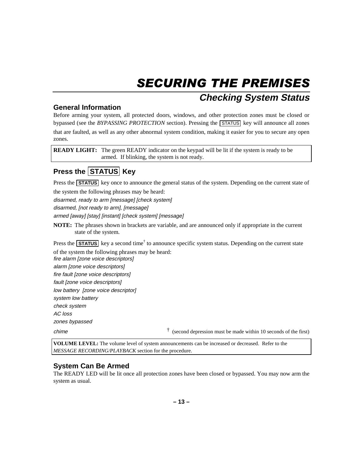## **SECURING THE PREMISES Checking System Status**

### **General Information**

Before arming your system, all protected doors, windows, and other protection zones must be closed or bypassed (see the *BYPASSING PROTECTION* section). Pressing the **STATUS** key will announce all zones that are faulted, as well as any other abnormal system condition, making it easier for you to secure any open zones.

**READY LIGHT:** The green READY indicator on the keypad will be lit if the system is ready to be armed. If blinking, the system is not ready.

### **Press the STATUS Key**

Press the **STATUS** key once to announce the general status of the system. Depending on the current state of the system the following phrases may be heard:

disarmed, ready to arm [message] [check system]

disarmed, [not ready to arm], [message]

armed [away] [stay] [instant] [check system] [message]

**NOTE:** The phrases shown in brackets are variable, and are announced only if appropriate in the current state of the system.

Press the **STATUS** key a second time<sup>†</sup> to announce specific system status. Depending on the current state

of the system the following phrases may be heard: fire alarm [zone voice descriptors] alarm [zone voice descriptors] fire fault [zone voice descriptors] fault [zone voice descriptors] low battery [zone voice descriptor] system low battery check system AC loss zones bypassed *chime*  $\frac{1}{\sqrt{t}}$  (second depression must be made within 10 seconds of the first)

**VOLUME LEVEL:** The volume level of system announcements can be increased or decreased. Refer to the *MESSAGE RECORDING/PLAYBACK* section for the procedure.

### **System Can Be Armed**

The READY LED will be lit once all protection zones have been closed or bypassed. You may now arm the system as usual.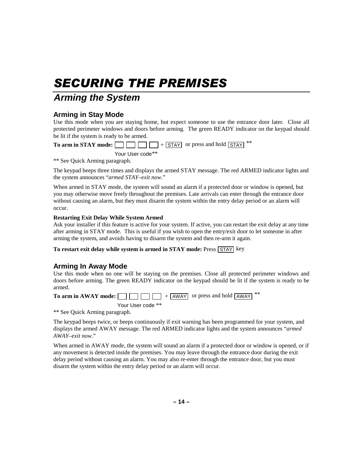## **SECURING THE PREMISES**

### **Arming the System**

### **Arming in Stay Mode**

Use this mode when you are staying home, but expect someone to use the entrance door later. Close all protected perimeter windows and doors before arming. The green READY indicator on the keypad should be lit if the system is ready to be armed.

**To arm in STAY mode:** + STAY or press and hold STAY \*\*

```
Your User code**
```
\*\* See Quick Arming paragraph.

The keypad beeps three times and displays the armed STAY message. The red ARMED indicator lights and the system announces "*armed STAY–exit now*."

When armed in STAY mode, the system will sound an alarm if a protected door or window is opened, but you may otherwise move freely throughout the premises. Late arrivals can enter through the entrance door without causing an alarm, but they must disarm the system within the entry delay period or an alarm will occur.

### **Restarting Exit Delay While System Armed**

Ask your installer if this feature is active for your system. If active, you can restart the exit delay at any time after arming in STAY mode. This is useful if you wish to open the entry/exit door to let someone in after arming the system, and avoids having to disarm the system and then re-arm it again.

To restart exit delay while system is armed in STAY mode: Press STAY key

### **Arming In Away Mode**

Use this mode when no one will be staying on the premises. Close all protected perimeter windows and doors before arming. The green READY indicator on the keypad should be lit if the system is ready to be armed.

**To arm in AWAY mode:**  $\Box$   $\Box$   $\Box$   $\Box$  +  $\Box$   $\Box$  AWAY or press and hold  $\Box$   $\Box$  \*\* Your User code \*\*

\*\* See Quick Arming paragraph.

The keypad beeps twice, or beeps continuously if exit warning has been programmed for your system, and displays the armed AWAY message. The red ARMED indicator lights and the system announces "*armed AWAY–exit now*."

When armed in AWAY mode, the system will sound an alarm if a protected door or window is opened, or if any movement is detected inside the premises. You may leave through the entrance door during the exit delay period without causing an alarm. You may also re-enter through the entrance door, but you must disarm the system within the entry delay period or an alarm will occur.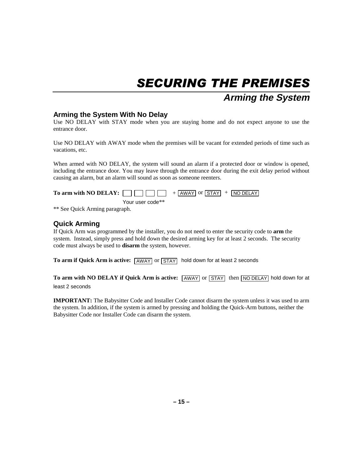## **SECURING THE PREMISES Arming the System**

### **Arming the System With No Delay**

Use NO DELAY with STAY mode when you are staying home and do not expect anyone to use the entrance door.

Use NO DELAY with AWAY mode when the premises will be vacant for extended periods of time such as vacations, etc.

When armed with NO DELAY, the system will sound an alarm if a protected door or window is opened, including the entrance door. You may leave through the entrance door during the exit delay period without causing an alarm, but an alarm will sound as soon as someone reenters.

Your user code\*\*

\*\* See Quick Arming paragraph.

### **Quick Arming**

If Quick Arm was programmed by the installer, you do not need to enter the security code to **arm** the system. Instead, simply press and hold down the desired arming key for at least 2 seconds. The security code must always be used to **disarm** the system, however.

To arm if Quick Arm is active:  $\sqrt{\text{AWAY}}$  or  $\sqrt{\text{STAY}}$  hold down for at least 2 seconds

**To arm with NO DELAY if Quick Arm is active:**  $\overline{AWAY}$  or  $\overline{STAY}$  then  $\overline{NO$  DELAY hold down for at least 2 seconds

**IMPORTANT:** The Babysitter Code and Installer Code cannot disarm the system unless it was used to arm the system. In addition, if the system is armed by pressing and holding the Quick-Arm buttons, neither the Babysitter Code nor Installer Code can disarm the system.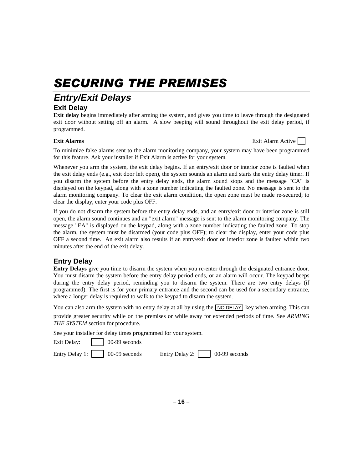## **SECURING THE PREMISES**

### **Entry/Exit Delays**

### **Exit Delay**

**Exit delay** begins immediately after arming the system, and gives you time to leave through the designated exit door without setting off an alarm. A slow beeping will sound throughout the exit delay period, if programmed.

**Exit Alarms Exit Alarms Exit Alarm Active** 

To minimize false alarms sent to the alarm monitoring company, your system may have been programmed for this feature. Ask your installer if Exit Alarm is active for your system.

Whenever you arm the system, the exit delay begins. If an entry/exit door or interior zone is faulted when the exit delay ends (e.g., exit door left open), the system sounds an alarm and starts the entry delay timer. If you disarm the system before the entry delay ends, the alarm sound stops and the message "CA" is displayed on the keypad, along with a zone number indicating the faulted zone. No message is sent to the alarm monitoring company. To clear the exit alarm condition, the open zone must be made re-secured; to clear the display, enter your code plus OFF.

If you do not disarm the system before the entry delay ends, and an entry/exit door or interior zone is still open, the alarm sound continues and an "exit alarm" message is sent to the alarm monitoring company. The message "EA" is displayed on the keypad, along with a zone number indicating the faulted zone. To stop the alarm, the system must be disarmed (your code plus OFF); to clear the display, enter your code plus OFF a second time. An exit alarm also results if an entry/exit door or interior zone is faulted within two minutes after the end of the exit delay.

### **Entry Delay**

**Entry Delays** give you time to disarm the system when you re-enter through the designated entrance door. You must disarm the system before the entry delay period ends, or an alarm will occur. The keypad beeps during the entry delay period, reminding you to disarm the system. There are two entry delays (if programmed). The first is for your primary entrance and the second can be used for a secondary entrance, where a longer delay is required to walk to the keypad to disarm the system.

You can also arm the system with no entry delay at all by using the  $\overline{NODELAY}$  key when arming. This can

provide greater security while on the premises or while away for extended periods of time. See *ARMING THE SYSTEM* section for procedure.

See your installer for delay times programmed for your system.

Exit Delay:  $\begin{array}{|c|c|} \hline \text{O}_0 & -99 \text{ seconds} \end{array}$ 

Entry Delay 1: 00-99 seconds Entry Delay 2: 00-99 seconds

**– 16 –**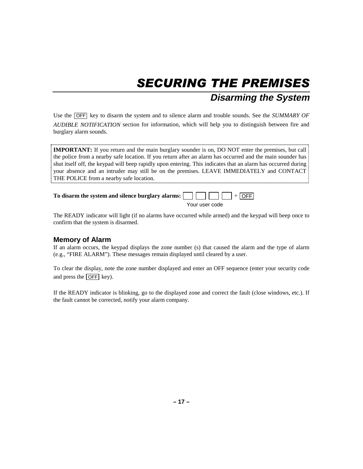## **SECURING THE PREMISES Disarming the System**

Use the **OFF** key to disarm the system and to silence alarm and trouble sounds. See the *SUMMARY OF AUDIBLE NOTIFICATION* section for information, which will help you to distinguish between fire and burglary alarm sounds.

**IMPORTANT:** If you return and the main burglary sounder is on, DO NOT enter the premises, but call the police from a nearby safe location. If you return after an alarm has occurred and the main sounder has shut itself off, the keypad will beep rapidly upon entering. This indicates that an alarm has occurred during your absence and an intruder may still be on the premises. LEAVE IMMEDIATELY and CONTACT THE POLICE from a nearby safe location.

### **To disarm the system and silence burglary alarms:** + OFF Your user code

The READY indicator will light (if no alarms have occurred while armed) and the keypad will beep once to confirm that the system is disarmed.

### **Memory of Alarm**

If an alarm occurs, the keypad displays the zone number (s) that caused the alarm and the type of alarm (e.g., "FIRE ALARM"). These messages remain displayed until cleared by a user.

To clear the display, note the zone number displayed and enter an OFF sequence (enter your security code and press the  $\overline{OFF}$  key).

If the READY indicator is blinking, go to the displayed zone and correct the fault (close windows, etc.). If the fault cannot be corrected, notify your alarm company.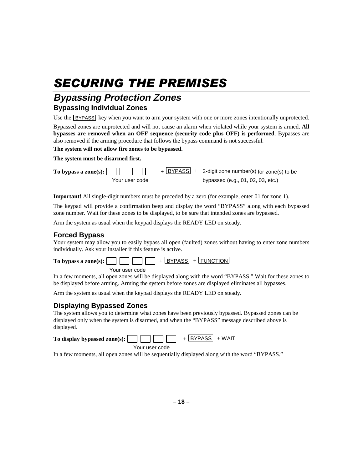## **SECURING THE PREMISES**

### **Bypassing Protection Zones Bypassing Individual Zones**

Use the **BYPASS** key when you want to arm your system with one or more zones intentionally unprotected.

Bypassed zones are unprotected and will not cause an alarm when violated while your system is armed. **All bypasses are removed when an OFF sequence (security code plus OFF) is performed**. Bypasses are also removed if the arming procedure that follows the bypass command is not successful.

**The system will not allow fire zones to be bypassed.** 

#### **The system must be disarmed first.**

**To bypass a zone(s):**  $\Box$   $\Box$   $\Box$   $\Box$   $+$   $\Box$   $\Box$   $+$   $\Box$   $\Box$   $+$   $\Box$   $\Box$   $+$   $\Box$   $\Box$   $+$   $\Box$   $\Box$   $+$   $\Box$   $\Box$   $\Box$   $+$   $\Box$   $\Box$   $\Box$   $+$   $\Box$   $\Box$   $\Box$   $+$   $\Box$   $\Box$   $\Box$   $+$   $\Box$   $\Box$   $\Box$   $\Box$   $\Box$   $\Box$ Your user code bypassed (e.g., 01, 02, 03, etc.)

**Important!** All single-digit numbers must be preceded by a zero (for example, enter 01 for zone 1).

The keypad will provide a confirmation beep and display the word "BYPASS" along with each bypassed zone number. Wait for these zones to be displayed, to be sure that intended zones are bypassed.

Arm the system as usual when the keypad displays the READY LED on steady.

### **Forced Bypass**

Your system may allow you to easily bypass all open (faulted) zones without having to enter zone numbers individually. Ask your installer if this feature is active.

To bypass a zone(s):  $\Box$   $\Box$   $\Box$  + BYPASS + FUNCTION Your user code

In a few moments, all open zones will be displayed along with the word "BYPASS." Wait for these zones to be displayed before arming. Arming the system before zones are displayed eliminates all bypasses.

Arm the system as usual when the keypad displays the READY LED on steady.

### **Displaying Bypassed Zones**

The system allows you to determine what zones have been previously bypassed. Bypassed zones can be displayed only when the system is disarmed, and when the "BYPASS" message described above is displayed.

| To display bypassed zone(s): $\Box$ |  |  |  |  |  | $+$ BYPASS $+$ WAIT |  |
|-------------------------------------|--|--|--|--|--|---------------------|--|
|-------------------------------------|--|--|--|--|--|---------------------|--|

Your user code

In a few moments, all open zones will be sequentially displayed along with the word "BYPASS."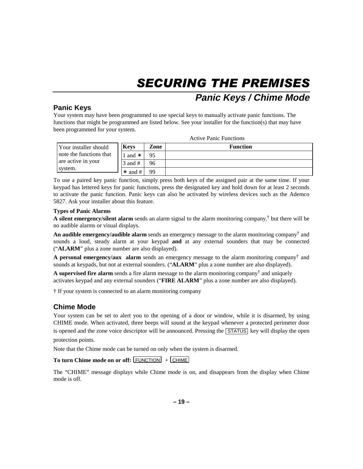## **SECURING THE PREMISES Panic Keys / Chime Mode**

### **Panic Keys**

Your system may have been programmed to use special keys to manually activate panic functions. The functions that might be programmed are listed below. See your installer for the function(s) that may have been programmed for your system.

| <b>Active Panic Functions</b> |
|-------------------------------|
|-------------------------------|

| Your installer should   | <b>Keys</b> | Zone | <b>Function</b> |
|-------------------------|-------------|------|-----------------|
| note the functions that | and $*$     | 95   |                 |
| are active in your      | $3$ and #   | 96   |                 |
| system.                 | $*$ and #   | 99   |                 |

To use a paired key panic function, simply press both keys of the assigned pair at the same time. If your keypad has lettered keys for panic functions, press the designated key and hold down for at least 2 seconds to activate the panic function. Panic keys can also be activated by wireless devices such as the Ademco 5827. Ask your installer about this feature.

#### **Types of Panic Alarms**

**A silent emergency/silent alarm** sends an alarm signal to the alarm monitoring company, † but there will be no audible alarms or visual displays.

**An audible emergency/audible alarm** sends an emergency message to the alarm monitoring company† and sounds a loud, steady alarm at your keypad **and** at any external sounders that may be connected ("**ALARM**" plus a zone number are also displayed).

**A personal emergency/aux alarm** sends an emergency message to the alarm monitoring company† and sounds at keypads, but not at external sounders. ("**ALARM**" plus a zone number are also displayed).

**A supervised fire alarm** sends a fire alarm message to the alarm monitoring company† and uniquely activates keypad and any external sounders ("**FIRE ALARM**" plus a zone number are also displayed).

† If your system is connected to an alarm monitoring company

### **Chime Mode**

Your system can be set to alert you to the opening of a door or window, while it is disarmed, by using CHIME mode. When activated, three beeps will sound at the keypad whenever a protected perimeter door is opened and the zone voice descriptor will be announced. Pressing the  $STATUS$  key will display the open protection points.

Note that the Chime mode can be turned on only when the system is disarmed.

#### To turn Chime mode on or off: FUNCTION + CHIME

The "CHIME" message displays while Chime mode is on, and disappears from the display when Chime mode is off.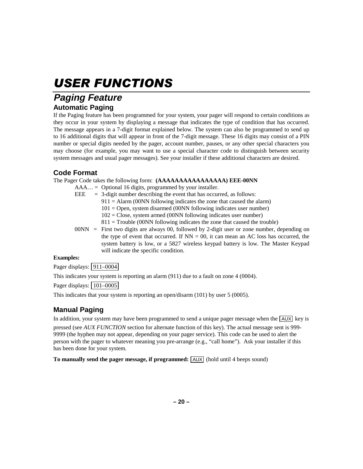### **Paging Feature Automatic Paging**

If the Paging feature has been programmed for your system, your pager will respond to certain conditions as they occur in your system by displaying a message that indicates the type of condition that has occurred. The message appears in a 7-digit format explained below. The system can also be programmed to send up to 16 additional digits that will appear in front of the 7-digit message. These 16 digits may consist of a PIN number or special digits needed by the pager, account number, pauses, or any other special characters you may choose (for example, you may want to use a special character code to distinguish between security system messages and usual pager messages). See your installer if these additional characters are desired.

### **Code Format**

The Pager Code takes the following form: **(AAAAAAAAAAAAAAAA) EEE-00NN** 

- AAA... = Optional 16 digits, programmed by your installer.
	- EEE  $=$  3-digit number describing the event that has occurred, as follows:
		- $911 =$  Alarm (00NN following indicates the zone that caused the alarm)
		- $101 =$  Open, system disarmed (00NN following indicates user number)
		- 102 = Close, system armed (00NN following indicates user number)
		- $811$  = Trouble (00NN following indicates the zone that caused the trouble)
- 00NN = First two digits are always 00, followed by 2-digit user or zone number, depending on the type of event that occurred. If  $NN = 00$ , it can mean an AC loss has occurred, the system battery is low, or a 5827 wireless keypad battery is low. The Master Keypad will indicate the specific condition.

### **Examples:**

Pager displays:  $\boxed{911-0004}$ 

This indicates your system is reporting an alarm (911) due to a fault on zone 4 (0004).

Pager displays: 101–0005

This indicates that your system is reporting an open/disarm (101) by user 5 (0005).

### **Manual Paging**

In addition, your system may have been programmed to send a unique pager message when the  $\overline{AUX}$  key is

pressed (see *AUX FUNCTION* section for alternate function of this key). The actual message sent is 999- 9999 (the hyphen may not appear, depending on your pager service). This code can be used to alert the person with the pager to whatever meaning you pre-arrange (e.g., "call home"). Ask your installer if this has been done for your system.

**To manually send the pager message, if programmed:**  $\overline{AUX}$  (hold until 4 beeps sound)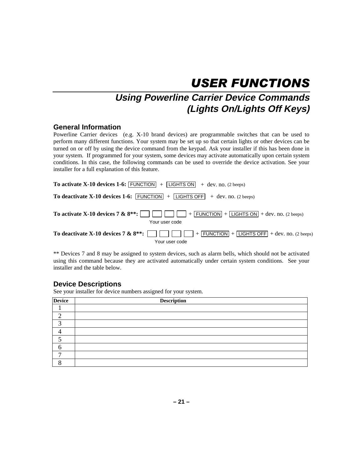### **Using Powerline Carrier Device Commands (Lights On/Lights Off Keys)**

### **General Information**

Powerline Carrier devices (e.g. X-10 brand devices) are programmable switches that can be used to perform many different functions. Your system may be set up so that certain lights or other devices can be turned on or off by using the device command from the keypad. Ask your installer if this has been done in your system. If programmed for your system, some devices may activate automatically upon certain system conditions. In this case, the following commands can be used to override the device activation. See your installer for a full explanation of this feature.

**To activate X-10 devices 1-6:**  $\boxed{\text{FUNCTION}}$  +  $\boxed{\text{LIGHTS ON}}$  + dev. no. (2 beeps)

**To deactivate X-10 devices 1-6:**  $\boxed{\text{FUNCTION}}$  +  $\boxed{\text{LIGHTS OFF}}$  + dev. no. (2 beeps)

**To activate X-10 devices 7 & 8\*\*:** + FUNCTION + LIGHTS ON + dev. no. (2 beeps) Your user code

**To deactivate X-10 devices 7 & 8\*\*:** + FUNCTION + LIGHTS OFF + dev. no. (2 beeps) Your user code

\*\* Devices 7 and 8 may be assigned to system devices, such as alarm bells, which should not be activated using this command because they are activated automatically under certain system conditions. See your installer and the table below.

### **Device Descriptions**

See your installer for device numbers assigned for your system.

| <b>Device</b> | <b>Description</b> |
|---------------|--------------------|
|               |                    |
| $\bigcap$     |                    |
| $\sqrt{2}$    |                    |
|               |                    |
|               |                    |
|               |                    |
|               |                    |
|               |                    |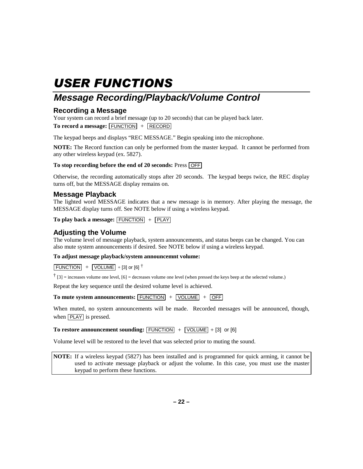### **Message Recording/Playback/Volume Control**

### **Recording a Message**

Your system can record a brief message (up to 20 seconds) that can be played back later. **To record a message:** FUNCTION + RECORD

The keypad beeps and displays "REC MESSAGE." Begin speaking into the microphone.

**NOTE:** The Record function can only be performed from the master keypad. It cannot be performed from any other wireless keypad (ex. 5827).

### To stop recording before the end of 20 seconds: Press **OFF**

Otherwise, the recording automatically stops after 20 seconds. The keypad beeps twice, the REC display turns off, but the MESSAGE display remains on.

### **Message Playback**

The lighted word MESSAGE indicates that a new message is in memory. After playing the message, the MESSAGE display turns off. See NOTE below if using a wireless keypad.

**To play back a message:** FUNCTION + PLAY

### **Adjusting the Volume**

The volume level of message playback, system announcements, and status beeps can be changed. You can also mute system announcements if desired. See NOTE below if using a wireless keypad.

#### **To adjust message playback/system announcemnt volume:**

 $\boxed{\text{FUNCTION}} + \boxed{\text{VOLUME}} + [3] \text{ or } [6]^\dagger$ 

 $\dagger$  [3] = increases volume one level, [6] = decreases volume one level (when pressed the keys beep at the selected volume.)

Repeat the key sequence until the desired volume level is achieved.

### **To mute system announcements:** FUNCTION + VOLUME + OFF

When muted, no system announcements will be made. Recorded messages will be announced, though, when **PLAY** is pressed.

### **To restore announcement sounding:**  $\boxed{\text{FUNCTION}}$  +  $\boxed{\text{VOLUME}}$  + [3] or [6]

Volume level will be restored to the level that was selected prior to muting the sound.

**NOTE:** If a wireless keypad (5827) has been installed and is programmed for quick arming, it cannot be used to activate message playback or adjust the volume. In this case, you must use the master keypad to perform these functions.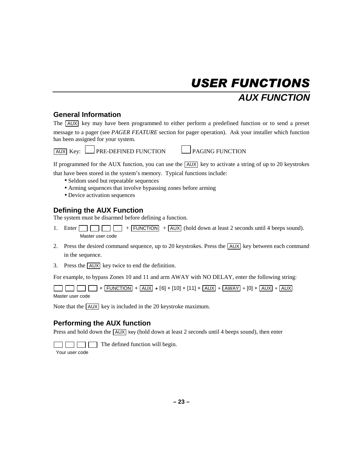## **USER FUNCTIONS AUX FUNCTION**

### **General Information**

The AUX key may have been programmed to either perform a predefined function or to send a preset message to a pager (see *PAGER FEATURE* section for pager operation). Ask your installer which function has been assigned for your system.

 $\overline{AUX}$  Key:  $\Box$  PRE-DEFINED FUNCTION  $\Box$  PAGING FUNCTION

If programmed for the AUX function, you can use the  $\overline{AUX}$  key to activate a string of up to 20 keystrokes

that have been stored in the system's memory. Typical functions include:

- Seldom used but repeatable sequences
- Arming sequences that involve bypassing zones before arming
- Device activation sequences

### **Defining the AUX Function**

The system must be disarmed before defining a function.

- 1. Enter + FUNCTION + AUX (hold down at least 2 seconds until 4 beeps sound). Master user code
- 2. Press the desired command sequence, up to 20 keystrokes. Press the  $\overline{AUX}$  key between each command in the sequence.
- 3. Press the  $\overline{AUX}$  key twice to end the definition.

For example, to bypass Zones 10 and 11 and arm AWAY with NO DELAY, enter the following string:

| $\Box$ $\Box$ $\Box$ + $\Box$ FUNCTION + $\Box$ + $\Box$ + $\Box$ + $\Box$ + $\Box$ + $\Box$ + $\Box$ + $\Box$ + $\Box$ + $\Box$ + $\Box$ + $\Box$ + $\Box$ + $\Box$ + $\Box$ + $\Box$ |  |  |  |
|----------------------------------------------------------------------------------------------------------------------------------------------------------------------------------------|--|--|--|
| Master user code                                                                                                                                                                       |  |  |  |

Note that the  $\overline{AUX}$  key is included in the 20 keystroke maximum.

### **Performing the AUX function**

Press and hold down the  $\overline{AUX}$  key (hold down at least 2 seconds until 4 beeps sound), then enter

 $\Box$  $\Box$  $\Box$  The defined function will begin.

```
Your user code
```
**– 23 –**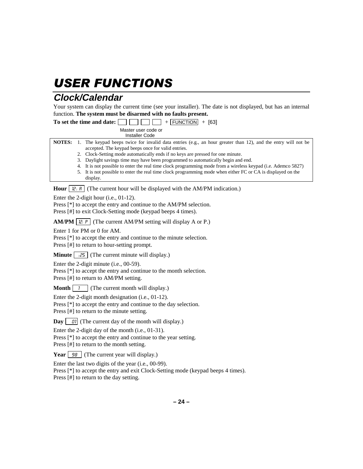### **Clock/Calendar**

Your system can display the current time (see your installer). The date is not displayed, but has an internal function. **The system must be disarmed with no faults present.**

To set the time and date:  $\Box$   $\Box$   $\Box$  +  $\Box$   $\Box$  +  $\Box$   $\Box$  +  $\Box$  [63]

 Master user code or Installer Code

**NOTES:** 1. The keypad beeps twice for invalid data entries (e.g., an hour greater than 12), and the entry will not be accepted. The keypad beeps once for valid entries.

- 2. Clock-Setting mode automatically ends if no keys are pressed for one minute.
	- 3. Daylight savings time may have been programmed to automatically begin and end.
	- 4. It is not possible to enter the real time clock programming mode from a wireless keypad (i.e. Ademco 5827)
	- 5. It is not possible to enter the real time clock programming mode when either FC or CA is displayed on the display.

**Hour**  $\boxed{12.8}$  (The current hour will be displayed with the AM/PM indication.)

Enter the 2-digit hour (i.e., 01-12).

Press [\*] to accept the entry and continue to the AM/PM selection.

Press [#] to exit Clock-Setting mode (keypad beeps 4 times).

**AM/PM**  $\boxed{12. P}$  (The current AM/PM setting will display A or P.)

Enter 1 for PM or 0 for AM.

Press [ $*$ ] to accept the entry and continue to the minute selection.

Press [#] to return to hour-setting prompt.

**Minute**  $\begin{bmatrix} .25 \end{bmatrix}$  (The current minute will display.)

Enter the 2-digit minute (i.e., 00-59).

Press [ $*$ ] to accept the entry and continue to the month selection. Press [#] to return to AM/PM setting.

**Month**  $\begin{bmatrix} 1 \\ 1 \end{bmatrix}$  (The current month will display.)

Enter the 2-digit month designation (i.e., 01-12).

Press [ $*$ ] to accept the entry and continue to the day selection.

Press [#] to return to the minute setting.

**Day**  $\begin{bmatrix} 0 \\ 0 \end{bmatrix}$  (The current day of the month will display.)

Enter the 2-digit day of the month (i.e., 01-31).

Press [<sup>\*</sup>] to accept the entry and continue to the year setting.

Press [#] to return to the month setting.

**Year**  $\boxed{98}$  (The current year will display.)

Enter the last two digits of the year (i.e., 00-99).

Press [ $*$ ] to accept the entry and exit Clock-Setting mode (keypad beeps 4 times).

Press [#] to return to the day setting.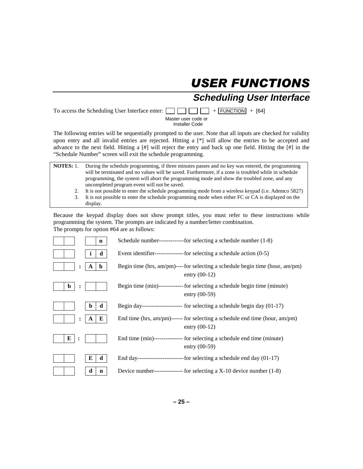### **Scheduling User Interface**

To access the Scheduling User Interface enter:  $\Box$   $\Box$  +  $\Box$   $\Box$  +  $\Box$   $\Box$  +  $\Box$   $\Box$  +  $\Box$   $\Box$  +  $\Box$   $\Box$  +  $\Box$   $\Box$  +  $\Box$   $\Box$  +  $\Box$   $\Box$  +  $\Box$   $\Box$  +  $\Box$   $\Box$  +  $\Box$   $\Box$  +  $\Box$   $\Box$  +  $\Box$   $\Box$  +  $\Box$ 

 Master user code or Installer Code

The following entries will be sequentially prompted to the user. Note that all inputs are checked for validity upon entry and all invalid entries are rejected. Hitting a [\*] will allow the entries to be accepted and advance to the next field. Hitting a [#] will reject the entry and back up one field. Hitting the [#] in the "Schedule Number" screen will exit the schedule programming.

| <b>NOTES:</b> 1. | During the schedule programming, if three minutes passes and no key was entered, the programming     |
|------------------|------------------------------------------------------------------------------------------------------|
|                  | will be terminated and no values will be saved. Furthermore, if a zone is troubled while in schedule |
|                  | programming, the system will abort the programming mode and show the troubled zone, and any          |
|                  | uncompleted program event will not be saved.                                                         |
|                  | It is not possible to enter the schedule programming mode from a wireless keypad (i.e. Ademco 5827)  |

 3. It is not possible to enter the schedule programming mode when either FC or CA is displayed on the display.

Because the keypad display does not show prompt titles, you must refer to these instructions while programming the system. The prompts are indicated by a number/letter combination. The prompts for option #64 are as follows:

| n                        | Schedule number--------------for selecting a schedule number (1-8)                                   |
|--------------------------|------------------------------------------------------------------------------------------------------|
| d                        | Event identifier------------------for selecting a schedule action (0-5)                              |
| b<br>:<br>A              | Begin time (hrs, $am/m$ )----for selecting a schedule begin time (hour, $am/m$ )<br>entry $(00-12)$  |
| $\mathbf b$              | Begin time (min)-------------- for selecting a schedule begin time (minute)<br>entry $(00-59)$       |
| d<br>b                   | Begin day----------------------- for selecting a schedule begin day $(01-17)$                        |
| E<br>$\ddot{\cdot}$<br>A | End time (hrs, $am/pm$ )------ for selecting a schedule end time (hour, $am/pm$ )<br>entry $(00-12)$ |
| E                        | End time (min)---------------- for selecting a schedule end time (minute)<br>entry $(00-59)$         |
| E<br>d                   | End day-----------------------------for selecting a schedule end day $(01-17)$                       |
| d<br>$\mathbf n$         | Device number----------------- for selecting a $X-10$ device number $(1-8)$                          |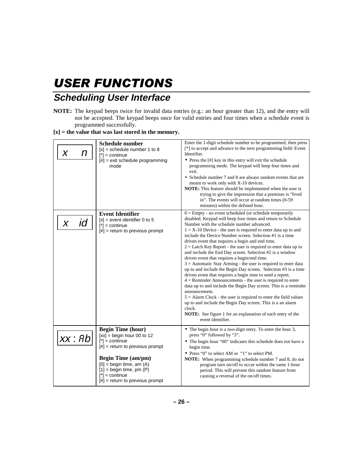## **Scheduling User Interface**

**NOTE:** The keypad beeps twice for invalid data entries (e.g.: an hour greater than 12), and the entry will not be accepted. The keypad beeps once for valid entries and four times when a schedule event is programmed successfully.

**[x] = the value that was last stored in the memory.** 

| Enter the 1-digit schedule number to be programmed, then press<br>[*] to accept and advance to the next programming field: Event<br>Identifier.<br>• Press the [#] key in this entry will exit the schedule<br>programming mode. The keypad will beep four times and<br>exit.<br>• Schedule number 7 and 8 are always random events that are<br>meant to work only with X-10 devices.<br><b>NOTE:</b> This feature should be implemented when the user is<br>trying to give the impression that a premises is "lived<br>in". The events will occur at random times (0-59)<br>minutes) within the defined hour.                                                                                                                                                                                                                                                                                                                                                                                                                                                                                                                             |
|--------------------------------------------------------------------------------------------------------------------------------------------------------------------------------------------------------------------------------------------------------------------------------------------------------------------------------------------------------------------------------------------------------------------------------------------------------------------------------------------------------------------------------------------------------------------------------------------------------------------------------------------------------------------------------------------------------------------------------------------------------------------------------------------------------------------------------------------------------------------------------------------------------------------------------------------------------------------------------------------------------------------------------------------------------------------------------------------------------------------------------------------|
| $0 =$ Empty - no event scheduled (or schedule temporarily<br>disabled. Keypad will beep four times and return to Schedule<br>Number with the schedule number advanced.<br>$1 = X-10$ Device - the user is required to enter data up to and<br>include the Device Number screen. Selection #1 is a time<br>driven event that requires a begin and end time.<br>$2 =$ Latch Key Report - the user is required to enter data up to<br>and include the End Day screen. Selection #2 is a window<br>driven event that requires a begin/end time.<br>$3$ = Automatic Stay Arming - the user is required to enter data<br>up to and include the Begin Day screen. Selection #3 is a time<br>driven event that requires a begin time to send a report.<br>$4$ = Reminder Announcements - the user is required to enter<br>data up to and include the Begin Day screen. This is a reminder<br>announcement.<br>$5 =$ Alarm Clock - the user is required to enter the field values<br>up to and include the Begin Day screen. This is a an alarm<br>clock.<br><b>NOTE:</b> See figure 1 for an explanation of each entry of the<br>event identifier. |
| • The begin hour is a two-digit entry. To enter the hour 3,<br>press "0" followed by "3".<br>• The begin hour "00" indicates this schedule does not have a<br>begin time.<br>• Press "0" to select AM or "1" to select PM.<br>NOTE: When programming schedule number 7 and 8, do not<br>program turn on/off to occur within the same 1-hour<br>period. This will prevent this random feature from<br>causing a reversal of the on/off times.                                                                                                                                                                                                                                                                                                                                                                                                                                                                                                                                                                                                                                                                                               |
|                                                                                                                                                                                                                                                                                                                                                                                                                                                                                                                                                                                                                                                                                                                                                                                                                                                                                                                                                                                                                                                                                                                                            |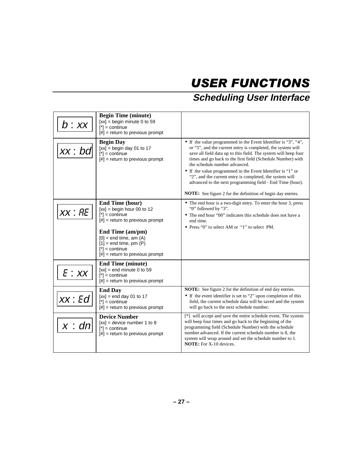## **Scheduling User Interface**

| b:xx    | <b>Begin Time (minute)</b><br>$[xx]$ = begin minute 0 to 59<br>$\mathsf{I}^*$ ] = continue<br>$[#]$ = return to previous prompt                                                                                                                                            |                                                                                                                                                                                                                                                                                                                                                                                                                                                                                                                                                                |
|---------|----------------------------------------------------------------------------------------------------------------------------------------------------------------------------------------------------------------------------------------------------------------------------|----------------------------------------------------------------------------------------------------------------------------------------------------------------------------------------------------------------------------------------------------------------------------------------------------------------------------------------------------------------------------------------------------------------------------------------------------------------------------------------------------------------------------------------------------------------|
| xx:bd   | <b>Begin Day</b><br>$[xx]$ = begin day 01 to 17<br>$[{}^*]$ = continue<br>$[#]$ = return to previous prompt                                                                                                                                                                | • If the value programmed in the Event Identifier is "3", "4",<br>or "5", and the current entry is completed, the system will<br>save all field data up to this field. The system will beep four<br>times and go back to the first field (Schedule Number) with<br>the schedule number advanced.<br>• If the value programmed in the Event Identifier is "1" or<br>"2", and the current entry is completed, the system will<br>advanced to the next programming field - End Time (hour).<br><b>NOTE:</b> See figure 2 for the definition of begin day entries. |
| XX : RE | <b>End Time (hour)</b><br>$[xx]$ = begin hour 00 to 12<br>$[{}^*]$ = continue<br>$[#]$ = return to previous prompt<br>End Time (am/pm)<br>$[0]$ = end time, am $(A)$<br>$[1]$ = end time, pm $(P)$<br>$[$ <sup>*</sup> $]$ = continue<br>$[#]$ = return to previous prompt | • The end hour is a two-digit entry. To enter the hour 3, press<br>"0" followed by "3".<br>• The end hour "00" indicates this schedule does not have a<br>end time.<br>• Press "0" to select AM or "1" to select PM.                                                                                                                                                                                                                                                                                                                                           |
| E:XX    | <b>End Time (minute)</b><br>$[xx] = end$ minute 0 to 59<br>$\mathsf{I}^*$ ] = continue<br>$[#]$ = return to previous prompt                                                                                                                                                |                                                                                                                                                                                                                                                                                                                                                                                                                                                                                                                                                                |
| xx:Ed   | <b>End Day</b><br>$[xx] = end day 01 to 17$<br>$[^*]$ = continue<br>$[#]$ = return to previous prompt                                                                                                                                                                      | <b>NOTE:</b> See figure 2 for the definition of end day entries.<br>• If the event identifier is set to "2" upon completion of this<br>field, the current schedule data will be saved and the system<br>will go back to the next schedule number.                                                                                                                                                                                                                                                                                                              |
| x : dn  | <b>Device Number</b><br>$[xx]$ = device number 1 to 8<br>$\mathsf{I}^*$ ] = continue<br>$[#]$ = return to previous prompt                                                                                                                                                  | [*] will accept and save the entire schedule event. The system<br>will beep four times and go back to the beginning of the<br>programming field (Schedule Number) with the schedule<br>number advanced. If the current schedule number is 8, the<br>system will wrap around and set the schedule number to 1.<br><b>NOTE:</b> For X-10 devices.                                                                                                                                                                                                                |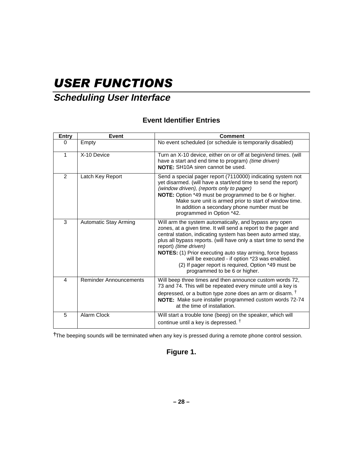## **USER FUNCTIONS Scheduling User Interface**

### **Event Identifier Entries**

| <b>Entry</b>   | <b>Event</b>                  | <b>Comment</b>                                                                                                                                                                                                                                                                                                                                                                                                                                                                                      |
|----------------|-------------------------------|-----------------------------------------------------------------------------------------------------------------------------------------------------------------------------------------------------------------------------------------------------------------------------------------------------------------------------------------------------------------------------------------------------------------------------------------------------------------------------------------------------|
| $\Omega$       | Empty                         | No event scheduled (or schedule is temporarily disabled)                                                                                                                                                                                                                                                                                                                                                                                                                                            |
| 1              | X-10 Device                   | Turn an X-10 device, either on or off at begin/end times. (will<br>have a start and end time to program) <i>(time driven)</i><br><b>NOTE:</b> SH10A siren cannot be used.                                                                                                                                                                                                                                                                                                                           |
| 2              | Latch Key Report              | Send a special pager report (7110000) indicating system not<br>yet disarmed. (will have a start/end time to send the report)<br>(window driven), (reports only to pager)<br>NOTE: Option *49 must be programmed to be 6 or higher.<br>Make sure unit is armed prior to start of window time.<br>In addition a secondary phone number must be<br>programmed in Option *42.                                                                                                                           |
| 3              | <b>Automatic Stay Arming</b>  | Will arm the system automatically, and bypass any open<br>zones, at a given time. It will send a report to the pager and<br>central station, indicating system has been auto armed stay,<br>plus all bypass reports. (will have only a start time to send the<br>report) (time driven)<br><b>NOTES:</b> (1) Prior executing auto stay arming, force bypass<br>will be executed - if option *23 was enabled.<br>(2) If pager report is required, Option *49 must be<br>programmed to be 6 or higher. |
| $\overline{4}$ | <b>Reminder Announcements</b> | Will beep three times and then announce custom words 72,<br>73 and 74. This will be repeated every minute until a key is<br>depressed, or a button type zone does an arm or disarm. T<br>NOTE: Make sure installer programmed custom words 72-74<br>at the time of installation.                                                                                                                                                                                                                    |
| 5              | Alarm Clock                   | Will start a trouble tone (beep) on the speaker, which will<br>continue until a key is depressed. <sup>†</sup>                                                                                                                                                                                                                                                                                                                                                                                      |

**†**The beeping sounds will be terminated when any key is pressed during a remote phone control session.

### **Figure 1.**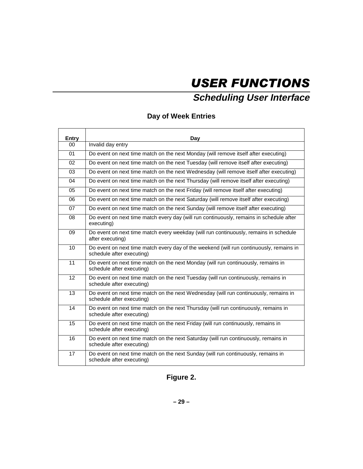**Scheduling User Interface** 

### **Day of Week Entries**

| <b>Entry</b> | Day                                                                                                                  |
|--------------|----------------------------------------------------------------------------------------------------------------------|
| 00           | Invalid day entry                                                                                                    |
| 01           | Do event on next time match on the next Monday (will remove itself after executing)                                  |
| 02           | Do event on next time match on the next Tuesday (will remove itself after executing)                                 |
| 03           | Do event on next time match on the next Wednesday (will remove itself after executing)                               |
| 04           | Do event on next time match on the next Thursday (will remove itself after executing)                                |
| 05           | Do event on next time match on the next Friday (will remove itself after executing)                                  |
| 06           | Do event on next time match on the next Saturday (will remove itself after executing)                                |
| 07           | Do event on next time match on the next Sunday (will remove itself after executing)                                  |
| 08           | Do event on next time match every day (will run continuously, remains in schedule after<br>executing)                |
| 09           | Do event on next time match every weekday (will run continuously, remains in schedule<br>after executing)            |
| 10           | Do event on next time match every day of the weekend (will run continuously, remains in<br>schedule after executing) |
| 11           | Do event on next time match on the next Monday (will run continuously, remains in<br>schedule after executing)       |
| 12           | Do event on next time match on the next Tuesday (will run continuously, remains in<br>schedule after executing)      |
| 13           | Do event on next time match on the next Wednesday (will run continuously, remains in<br>schedule after executing)    |
| 14           | Do event on next time match on the next Thursday (will run continuously, remains in<br>schedule after executing)     |
| 15           | Do event on next time match on the next Friday (will run continuously, remains in<br>schedule after executing)       |
| 16           | Do event on next time match on the next Saturday (will run continuously, remains in<br>schedule after executing)     |
| 17           | Do event on next time match on the next Sunday (will run continuously, remains in<br>schedule after executing)       |

**Figure 2.**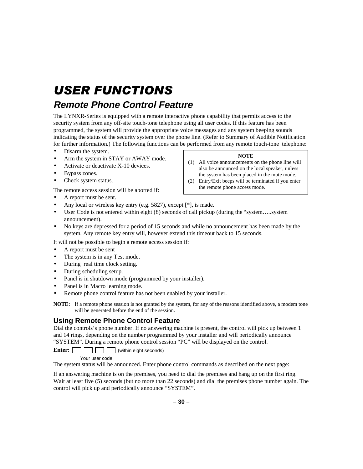### **Remote Phone Control Feature**

The LYNXR-Series is equipped with a remote interactive phone capability that permits access to the security system from any off-site touch-tone telephone using all user codes. If this feature has been programmed, the system will provide the appropriate voice messages and any system beeping sounds indicating the status of the security system over the phone line. (Refer to Summary of Audible Notification for further information.) The following functions can be performed from any remote touch-tone telephone:

- Disarm the system.
- Arm the system in STAY or AWAY mode.
- Activate or deactivate X-10 devices.
- Bypass zones.
- Check system status.

The remote access session will be aborted if:

- A report must be sent.
- Any local or wireless key entry (e.g. 5827), except [\*], is made.
- User Code is not entered within eight (8) seconds of call pickup (during the "system…..system announcement).
- No keys are depressed for a period of 15 seconds and while no announcement has been made by the system. Any remote key entry will, however extend this timeout back to 15 seconds.

It will not be possible to begin a remote access session if:

- A report must be sent
- The system is in any Test mode.
- During real time clock setting.
- During scheduling setup.
- Panel is in shutdown mode (programmed by your installer).
- Panel is in Macro learning mode.
- Remote phone control feature has not been enabled by your installer.

**NOTE:** If a remote phone session is not granted by the system, for any of the reasons identified above, a modem tone will be generated before the end of the session.

### **Using Remote Phone Control Feature**

Dial the controls's phone number. If no answering machine is present, the control will pick up between 1 and 14 rings, depending on the number programmed by your installer and will periodically announce "SYSTEM". During a remote phone control session "PC" will be displayed on the control.

Enter:  $\Box$   $\Box$  (within eight seconds)

Your user code

The system status will be announced. Enter phone control commands as described on the next page:

If an answering machine is on the premises, you need to dial the premises and hang up on the first ring. Wait at least five (5) seconds (but no more than 22 seconds) and dial the premises phone number again. The control will pick up and periodically announce "SYSTEM".

#### **NOTE**

- (1) All voice announcements on the phone line will also be announced on the local speaker, unless the system has been placed in the mute mode.
- (2) Entry/Exit beeps will be terminated if you enter the remote phone access mode.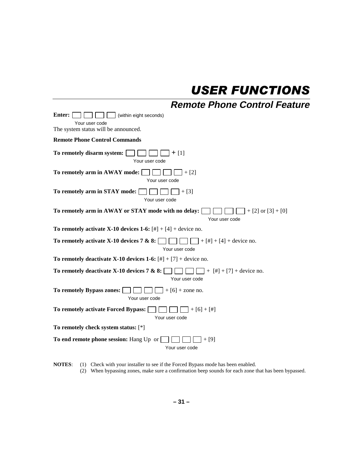| <b>Remote Phone Control Feature</b>                                                          |
|----------------------------------------------------------------------------------------------|
| Enter:<br>(within eight seconds)<br>Your user code<br>The system status will be announced.   |
| <b>Remote Phone Control Commands</b>                                                         |
| To remotely disarm system:<br>$+$ [1]<br>Your user code                                      |
| To remotely arm in AWAY mode:<br>$+[2]$<br>Your user code                                    |
| To remotely arm in STAY mode:<br>$+$ [3]<br>Your user code                                   |
| To remotely arm in AWAY or STAY mode with no delay:<br>$+[2]$ or $[3]+[0]$<br>Your user code |
| To remotely activate X-10 devices 1-6: $[\#] + [4] +$ device no.                             |
| To remotely activate X-10 devices 7 & 8:<br>$+[#] + [4] +$ device no.<br>Your user code      |
| To remotely deactivate X-10 devices 1-6: $[\#] + [7] +$ device no.                           |
| To remotely deactivate X-10 devices 7 & 8:<br>$+$ [#] + [7] + device no.<br>Your user code   |
| To remotely Bypass zones:<br>$+[6]$ + zone no.<br>Your user code                             |
| To remotely activate Forced Bypass:<br>$+[6]+[#]$<br>Your user code                          |
| To remotely check system status: [*]                                                         |
| To end remote phone session: Hang Up or<br>$+$ [9]<br>Your user code                         |

**NOTES**: (1) Check with your installer to see if the Forced Bypass mode has been enabled.

(2) When bypassing zones, make sure a confirmation beep sounds for each zone that has been bypassed.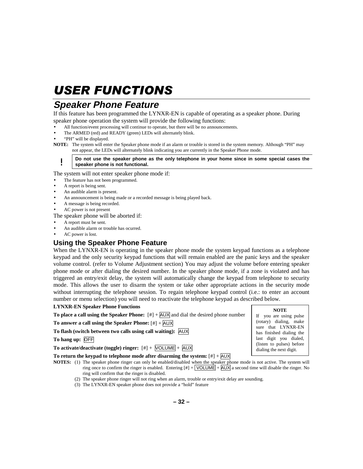### **Speaker Phone Feature**

If this feature has been programmed the LYNXR-EN is capable of operating as a speaker phone. During speaker phone operation the system will provide the following functions:

- All function/event processing will continue to operate, but there will be no announcements.
- The ARMED (red) and READY (green) LEDs will alternately blink.
- "PH" will be displayed.

**NOTE:** The system will enter the Speaker phone mode if an alarm or trouble is stored in the system memory. Although "PH" may not appear, the LEDs will alternately blink indicating you are currently in the Speaker Phone mode.

#### **Po not use the speaker phone as the only telephone in your home since in some special cases the** <br> **Po not use the angles where is not functional speaker phone is not functional.**

The system will not enter speaker phone mode if:

The feature has not been programmed.

- A report is being sent.
- An audible alarm is present.
- An announcement is being made or a recorded message is being played back.
- A message is being recorded.
- AC power is not present

The speaker phone will be aborted if:

- A report must be sent.
- An audible alarm or trouble has ocurred.
- AC power is lost.

### **Using the Speaker Phone Feature**

When the LYNXR-EN is operating in the speaker phone mode the system keypad functions as a telephone keypad and the only security keypad functions that will remain enabled are the panic keys and the speaker volume control. (refer to Volume Adjustment section) You may adjust the volume before entering speaker phone mode or after dialing the desired number. In the speaker phone mode, if a zone is violated and has triggered an entry/exit delay, the system will automatically change the keypad from telephone to security mode. This allows the user to disarm the system or take other appropriate actions in the security mode without interrupting the telephone session. To regain telephone keypad control (i.e.: to enter an account number or menu selection) you will need to reactivate the telephone keypad as described below.

#### **LYNXR-EN Speaker Phone Functions**

**To place a call using the Speaker Phone:**  $[#] + \overline{AUX}$  and dial the desired phone number

**To answer a call using the Speaker Phone:** [#] + AUX

**To flash (switch between two calls using call waiting):** AUX

**To hang up:** OFF

**To activate/deactivate (toggle) ringer:** [#] + VOLUME + AUX

#### **To return the keypad to telephone mode after disarming the system:** [#] + AUX

- **NOTES:** (1) The speaker phone ringer can only be enabled/disabled when the speaker phone mode is not active. The system will ring once to confirm the ringer is enabled. Entering  $[H] + \overline{[VOLUME]} + \overline{AUX}$  a second time will disable the ringer. No ring will confirm that the ringer is disabled.
	- (2) The speaker phone ringer will not ring when an alarm, trouble or entry/exit delay are sounding.
	- (3) The LYNXR-EN speaker phone does not provide a "hold" feature

**NOTE**  If you are using pulse (rotary) dialing, make sure that LYNXR-EN has finished dialing the last digit you dialed, (listen to pulses) before dialing the next digit.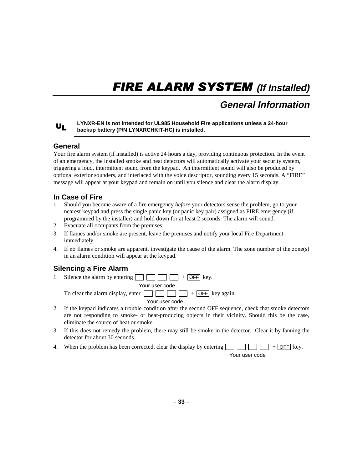## **FIRE ALARM SYSTEM** (If Installed)

### **General Information**

#### $U_{L}$  **LYNXR-EN is not intended for UL985 Household Fire applications unless a 24-hour backup battery (P/N LYNXRCHKIT-HC) is installed.**

### **General**

Your fire alarm system (if installed) is active 24 hours a day, providing continuous protection. In the event of an emergency, the installed smoke and heat detectors will automatically activate your security system, triggering a loud, intermittent sound from the keypad. An intermittent sound will also be produced by optional exterior sounders, and interlaced with the voice descriptor, sounding every 15 seconds. A "FIRE" message will appear at your keypad and remain on until you silence and clear the alarm display.

### **In Case of Fire**

- 1. Should you become aware of a fire emergency *before* your detectors sense the problem, go to your nearest keypad and press the single panic key (or panic key pair) assigned as FIRE emergency (if programmed by the installer) and hold down for at least 2 seconds. The alarm will sound.
- 2. Evacuate all occupants from the premises.
- 3. If flames and/or smoke are present, leave the premises and notify your local Fire Department immediately.
- 4. If no flames or smoke are apparent, investigate the cause of the alarm. The zone number of the zone(s) in an alarm condition will appear at the keypad.

### **Silencing a Fire Alarm**

1. Silence the alarm by entering  $\Box$   $\Box$   $\Box$  +  $\Box$   $\Box$  key. Your user code To clear the alarm display, enter  $\Box$   $\Box$  + OFF key again.

Your user code

- 2. If the keypad indicates a trouble condition after the second OFF sequence, check that smoke detectors are not responding to smoke- or heat-producing objects in their vicinity. Should this be the case, eliminate the source of heat or smoke.
- 3. If this does not remedy the problem, there may still be smoke in the detector. Clear it by fanning the detector for about 30 seconds.
- 4. When the problem has been corrected, clear the display by entering  $\Box$

Your user code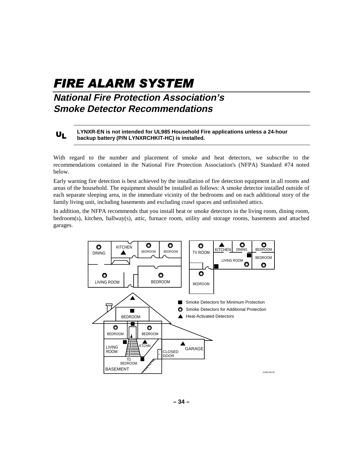## FIRE ALARM SYSTEM

### **National Fire Protection Association's Smoke Detector Recommendations**

### $U_L$

#### **LYNXR-EN is not intended for UL985 Household Fire applications unless a 24-hour backup battery (P/N LYNXRCHKIT-HC) is installed.**

With regard to the number and placement of smoke and heat detectors, we subscribe to the recommendations contained in the National Fire Protection Association's (NFPA) Standard #74 noted below.

Early warning fire detection is best achieved by the installation of fire detection equipment in all rooms and areas of the household. The equipment should be installed as follows: A smoke detector installed outside of each separate sleeping area, in the immediate vicinity of the bedrooms and on each additional story of the family living unit, including basements and excluding crawl spaces and unfinished attics.

In addition, the NFPA recommends that you install heat or smoke detectors in the living room, dining room, bedroom(s), kitchen, hallway(s), attic, furnace room, utility and storage rooms, basements and attached garages.

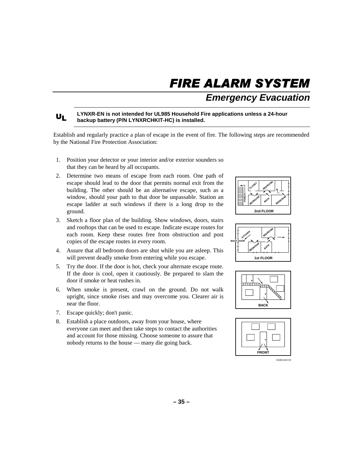## FIRE ALARM SYSTEM

### **Emergency Evacuation**

#### $U_L$  **LYNXR-EN is not intended for UL985 Household Fire applications unless a 24-hour backup battery (P/N LYNXRCHKIT-HC) is installed.**

Establish and regularly practice a plan of escape in the event of fire. The following steps are recommended by the National Fire Protection Association:

- 1. Position your detector or your interior and/or exterior sounders so that they can be heard by all occupants.
- 2. Determine two means of escape from each room. One path of escape should lead to the door that permits normal exit from the building. The other should be an alternative escape, such as a window, should your path to that door be unpassable. Station an escape ladder at such windows if there is a long drop to the ground.
- 3. Sketch a floor plan of the building. Show windows, doors, stairs and rooftops that can be used to escape. Indicate escape routes for each room. Keep these routes free from obstruction and post copies of the escape routes in every room.
- 4. Assure that all bedroom doors are shut while you are asleep. This will prevent deadly smoke from entering while you escape.
- 5. Try the door. If the door is hot, check your alternate escape route. If the door is cool, open it cautiously. Be prepared to slam the door if smoke or heat rushes in.
- 6. When smoke is present, crawl on the ground. Do not walk upright, since smoke rises and may overcome you. Clearer air is near the floor.
- 7. Escape quickly; don't panic.
- 8. Establish a place outdoors, away from your house, where everyone can meet and then take steps to contact the authorities and account for those missing. Choose someone to assure that nobody returns to the house — many die going back.









01000-023-V0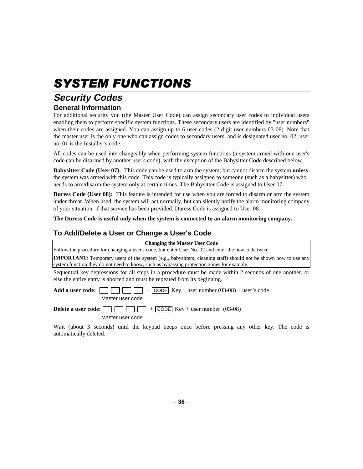### **Security Codes**

### **General Information**

For additional security you (the Master User Code) can assign secondary user codes to individual users enabling them to perform specific system functions. These secondary users are identified by "user numbers" when their codes are assigned. You can assign up to 6 user codes (2-digit user numbers 03-08). Note that the master user is the only one who can assign codes to secondary users, and is designated user no. 02; user no. 01 is the Installer's code.

All codes can be used interchangeably when performing system functions (a system armed with one user's code can be disarmed by another user's code), with the exception of the Babysitter Code described below.

**Babysitter Code (User 07):** This code can be used to arm the system, but cannot disarm the system **unless** the system was armed with this code. This code is typically assigned to someone (such as a babysitter) who needs to arm/disarm the system only at certain times. The Babysitter Code is assigned to User 07.

**Duress Code (User 08):** This feature is intended for use when you are forced to disarm or arm the system under threat. When used, the system will act normally, but can silently notify the alarm monitoring company of your situation, if that service has been provided. Duress Code is assigned to User 08.

**The Duress Code is useful only when the system is connected to an alarm monitoring company.** 

### **To Add/Delete a User or Change a User's Code**

**Changing the Master User Code**  Follow the procedure for changing a user's code, but enter User No. 02 and enter the new code twice. **IMPORTANT:** Temporary users of the system (e.g., babysitters, cleaning staff) should not be shown how to use any system function they do not need to know, such as bypassing protection zones for example. Sequential key depressions for all steps in a procedure must be made within 2 seconds of one another, or else the entire entry is aborted and must be repeated from its beginning.

**Add a user code:** + CODE Key + user number (03-08) + user's code

Master user code

**Delete a user code:** + CODE Key + user number (03-08)

Master user code

Wait (about 3 seconds) until the keypad beeps once before pressing any other key. The code is automatically deleted.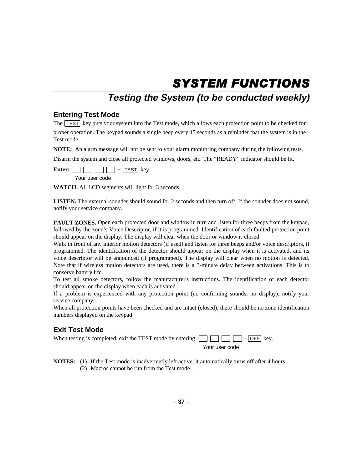### **Testing the System (to be conducted weekly)**

### **Entering Test Mode**

The TEST key puts your system into the Test mode, which allows each protection point to be checked for proper operation. The keypad sounds a single beep every 45 seconds as a reminder that the system is in the Test mode.

**NOTE:** An alarm message will not be sent to your alarm monitoring company during the following tests.

Disarm the system and close all protected windows, doors, etc. The "READY" indicator should be lit.

**Enter:**  $\Box$   $\Box$   $\Box$  + TEST key Your user code

**WATCH.** All LCD segments will light for 3 seconds.

LISTEN. The external sounder should sound for 2 seconds and then turn off. If the sounder does not sound, notify your service company.

**FAULT ZONES.** Open each protected door and window in turn and listen for three beeps from the keypad, followed by the zone's Voice Descriptor, if it is programmed. Identification of each faulted protection point should appear on the display. The display will clear when the door or window is closed.

Walk in front of any interior motion detectors (if used) and listen for three beeps and/or voice descriptors, if programmed. The identification of the detector should appear on the display when it is activated, and its voice descriptor will be announced (if programmed). The display will clear when no motion is detected. Note that if wireless motion detectors are used, there is a 3-minute delay between activations. This is to conserve battery life.

To test all smoke detectors, follow the manufacturer's instructions. The identification of each detector should appear on the display when each is activated.

If a problem is experienced with any protection point (no confirming sounds, no display), notify your service company.

When all protection points have been checked and are intact (closed), there should be no zone identification numbers displayed on the keypad.

### **Exit Test Mode**

```
When testing is completed, exit the TEST mode by entering: \Box \Box \Box + OFF key.
                                               Your user code
```
**NOTES:** (1) If the Test mode is inadvertently left active, it automatically turns off after 4 hours.

(2) Macros cannot be run from the Test mode.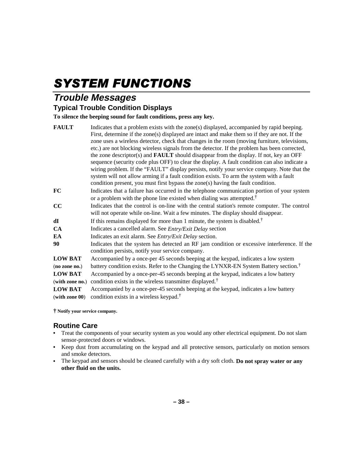### **Trouble Messages**

### **Typical Trouble Condition Displays**

**To silence the beeping sound for fault conditions, press any key.** 

| <b>FAULT</b>    | Indicates that a problem exists with the zone(s) displayed, accompanied by rapid beeping.         |
|-----------------|---------------------------------------------------------------------------------------------------|
|                 | First, determine if the zone(s) displayed are intact and make them so if they are not. If the     |
|                 | zone uses a wireless detector, check that changes in the room (moving furniture, televisions,     |
|                 | etc.) are not blocking wireless signals from the detector. If the problem has been corrected,     |
|                 | the zone descriptor(s) and FAULT should disappear from the display. If not, key an OFF            |
|                 | sequence (security code plus OFF) to clear the display. A fault condition can also indicate a     |
|                 | wiring problem. If the "FAULT" display persists, notify your service company. Note that the       |
|                 | system will not allow arming if a fault condition exists. To arm the system with a fault          |
|                 | condition present, you must first bypass the zone(s) having the fault condition.                  |
| <b>FC</b>       | Indicates that a failure has occurred in the telephone communication portion of your system       |
|                 | or a problem with the phone line existed when dialing was attempted. <sup>†</sup>                 |
| cc              | Indicates that the control is on-line with the central station's remote computer. The control     |
|                 | will not operate while on-line. Wait a few minutes. The display should disappear.                 |
| dI              | If this remains displayed for more than 1 minute, the system is disabled. <sup>†</sup>            |
| <b>CA</b>       | Indicates a cancelled alarm. See Entry/Exit Delay section                                         |
| EA              | Indicates an exit alarm. See <i>Entry/Exit Delay</i> section.                                     |
| 90              | Indicates that the system has detected an RF jam condition or excessive interference. If the      |
|                 | condition persists, notify your service company.                                                  |
| <b>LOW BAT</b>  | Accompanied by a once-per 45 seconds beeping at the keypad, indicates a low system                |
| $(no$ zone no.) | battery condition exists. Refer to the Changing the LYNXR-EN System Battery section. <sup>†</sup> |
| <b>LOW BAT</b>  | Accompanied by a once-per-45 seconds beeping at the keypad, indicates a low battery               |
| (with zone no.) | condition exists in the wireless transmitter displayed. <sup>†</sup>                              |
| <b>LOW BAT</b>  | Accompanied by a once-per-45 seconds beeping at the keypad, indicates a low battery               |
| (with zone 00)  | condition exists in a wireless keypad. <sup>†</sup>                                               |

**† Notify your service company.**

### **Routine Care**

- **•** Treat the components of your security system as you would any other electrical equipment. Do not slam sensor-protected doors or windows.
- **•** Keep dust from accumulating on the keypad and all protective sensors, particularly on motion sensors and smoke detectors.
- **•** The keypad and sensors should be cleaned carefully with a dry soft cloth. **Do not spray water or any other fluid on the units.**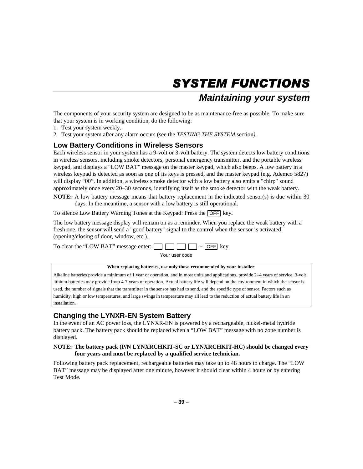### **Maintaining your system**

The components of your security system are designed to be as maintenance-free as possible. To make sure that your system is in working condition, do the following:

- 1. Test your system weekly.
- 2. Test your system after any alarm occurs (see the *TESTING THE SYSTEM* section*).*

#### **Low Battery Conditions in Wireless Sensors**

Each wireless sensor in your system has a 9-volt or 3-volt battery. The system detects low battery conditions in wireless sensors, including smoke detectors, personal emergency transmitter, and the portable wireless keypad, and displays a "LOW BAT" message on the master keypad, which also beeps. A low battery in a wireless keypad is detected as soon as one of its keys is pressed, and the master keypad (e.g. Ademco 5827) will display "00". In addition, a wireless smoke detector with a low battery also emits a "chirp" sound approximately once every 20–30 seconds, identifying itself as the smoke detector with the weak battery.

**NOTE:** A low battery message means that battery replacement in the indicated sensor(s) is due within 30 days. In the meantime, a sensor with a low battery is still operational.

To silence Low Battery Warning Tones at the Keypad: Press the OFF key**.** 

The low battery message display will remain on as a reminder. When you replace the weak battery with a fresh one, the sensor will send a "good battery" signal to the control when the sensor is activated (opening/closing of door, window, etc.).

To clear the "LOW BAT" message enter:  $\Box$   $\Box$   $\Box$  + OFF key.

Your user code

#### **When replacing batteries, use only those recommended by your installer.**

Alkaline batteries provide a minimum of 1 year of operation, and in most units and applications, provide 2–4 years of service. 3-volt lithium batteries may provide from 4-7 years of operation. Actual battery life will depend on the environment in which the sensor is used, the number of signals that the transmitter in the sensor has had to send, and the specific type of sensor. Factors such as humidity, high or low temperatures, and large swings in temperature may all lead to the reduction of actual battery life in an installation.

### **Changing the LYNXR-EN System Battery**

In the event of an AC power loss, the LYNXR-EN is powered by a rechargeable, nickel-metal hydride battery pack. The battery pack should be replaced when a "LOW BAT" message with no zone number is displayed.

#### **NOTE: The battery pack (P/N LYNXRCHKIT-SC or LYNXRCHKIT-HC) should be changed every four years and must be replaced by a qualified service technician.**

Following battery pack replacement, rechargeable batteries may take up to 48 hours to charge. The "LOW BAT" message may be displayed after one minute, however it should clear within 4 hours or by entering Test Mode.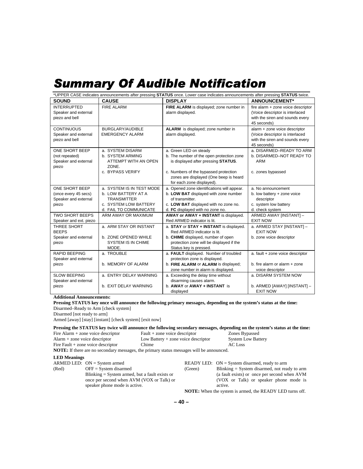## **Summary Of Audible Notification**

| *UPPER CASE indicates announcements after pressing STATUS once. Lower case indicates announcements after pressing STATUS twice. |                                                                                                                           |                                                                                                                                                                                                                            |                                                                                                                         |  |
|---------------------------------------------------------------------------------------------------------------------------------|---------------------------------------------------------------------------------------------------------------------------|----------------------------------------------------------------------------------------------------------------------------------------------------------------------------------------------------------------------------|-------------------------------------------------------------------------------------------------------------------------|--|
| <b>SOUND</b>                                                                                                                    | <b>CAUSE</b>                                                                                                              | <b>DISPLAY</b>                                                                                                                                                                                                             | <b>ANNOUNCEMENT*</b>                                                                                                    |  |
| <b>INTERRUPTED</b><br>Speaker and external<br>piezo and bell                                                                    | <b>FIRE ALARM</b>                                                                                                         | FIRE ALARM is displayed; zone number in<br>alarm displayed.                                                                                                                                                                | fire alarm + zone voice descriptor<br>(Voice descriptor is interlaced<br>with the siren and sounds every<br>45 seconds) |  |
| <b>CONTINUOUS</b><br>Speaker and external<br>piezo and bell                                                                     | BURGLARY/AUDIBLE<br><b>EMERGENCY ALARM</b>                                                                                | ALARM is displayed; zone number in<br>alarm displayed.                                                                                                                                                                     | alarm + zone voice descriptor<br>(Voice descriptor is interlaced<br>with the siren and sounds every<br>45 seconds)      |  |
| ONE SHORT BEEP<br>(not repeated)<br>Speaker and external<br>piezo                                                               | a. SYSTEM DISARM<br>b. SYSTEM ARMING<br>ATTEMPT WITH AN OPEN<br>ZONE.<br>c. BYPASS VERIFY                                 | a. Green LED on steady<br>b. The number of the open protection zone<br>is displayed after pressing STATUS.<br>c. Numbers of the bypassed protection<br>zones are displayed (One beep is heard<br>for each zone displayed). | a. DISARMED-READY TO ARM<br>b. DISARMED-NOT READY TO<br><b>ARM</b><br>c. zones bypassed                                 |  |
| ONE SHORT BEEP<br>(once every 45 secs)<br>Speaker and external<br>piezo                                                         | a. SYSTEM IS IN TEST MODE<br>b. LOW BATTERY AT A<br><b>TRANSMITTER</b><br>c. SYSTEM LOW BATTERY<br>d. FAIL TO COMMUNICATE | a. Opened zone identifications will appear.<br>b. LOW BAT displayed with zone number<br>of transmitter.<br>c. LOW BAT displayed with no zone no.<br>d. FC displayed with no zone no.                                       | a. No announcement<br>b. low battery + zone voice<br>descriptor<br>c. system low battery<br>d. check system             |  |
| <b>TWO SHORT BEEPS</b><br>Speaker and ext. piezo                                                                                | ARM AWAY OR MAXIMUM                                                                                                       | AWAY or AWAY + INSTANT is displayed.<br>Red ARMED indicator is lit.                                                                                                                                                        | ARMED AWAY [INSTANT] -<br><b>EXIT NOW</b>                                                                               |  |
| THREE SHORT<br><b>BEEPS</b><br>Speaker and external<br>piezo                                                                    | a. ARM STAY OR INSTANT<br>b. ZONE OPENED WHILE<br><b>SYSTEM IS IN CHIME</b><br>MODE.                                      | a. STAY or STAY + INSTANT is displayed.<br>Red ARMED indicator is lit.<br>b. CHIME displayed, number of open<br>protection zone will be displayed if the<br>Status key is pressed.                                         | a. ARMED STAY [INSTANT] -<br><b>EXIT NOW</b><br>b. zone voice descriptor                                                |  |
| <b>RAPID BEEPING</b><br>Speaker and external<br>piezo                                                                           | a. TROUBLE<br>b. MEMORY OF ALARM                                                                                          | a. FAULT displayed. Number of troubled<br>protection zone is displayed.<br>b. FIRE ALARM or ALARM is displayed;<br>zone number in alarm is displayed.                                                                      | a. fault + zone voice descriptor<br>b. fire alarm or alarm + zone<br>voice descriptor                                   |  |
| <b>SLOW BEEPING</b><br>Speaker and external<br>piezo                                                                            | a. ENTRY DELAY WARNING<br>b. EXIT DELAY WARNING                                                                           | a. Exceeding the delay time without<br>disarming causes alarm.<br>b. AWAY or AWAY + INSTANT is<br>displaved                                                                                                                | a. DISARM SYSTEM NOW<br>b. ARMED [AWAY] [INSTANT] -<br><b>EXIT NOW</b>                                                  |  |

#### **Additional Announcements:**

**Pressing STATUS key once will announce the following primary messages, depending on the system's status at the time:**  Disarmed–Ready to Arm [check system]

Disarmed [not ready to arm]

Armed [away] [stay] [instant] [check system] [exit now]

#### **Pressing the STATUS key twice will announce the following secondary messages, depending on the system's status at the time:**<br>Fire Alarm + zone voice descriptor **Example 1** Fault + zone voice descriptor **EXAMPLE 2018** Bypa Fire Alarm  $+$  zone voice descriptor

| $\text{Alarm} + \text{zone voice descriptor}$                                                   |                                                        | Low Battery $+$ zone voice descriptor |         | <b>System Low Battery</b>                       |
|-------------------------------------------------------------------------------------------------|--------------------------------------------------------|---------------------------------------|---------|-------------------------------------------------|
|                                                                                                 | Fire Fault $+$ zone voice descriptor                   | Chime                                 |         | AC Loss                                         |
| <b>NOTE:</b> If there are no secondary messages, the primary status messages will be announced. |                                                        |                                       |         |                                                 |
| <b>LED</b> Meanings                                                                             |                                                        |                                       |         |                                                 |
|                                                                                                 | ARMED LED: $ON = System\text{ armed}$                  |                                       |         | READY LED: $ON = System$ disarmed, ready to arm |
| (Red)                                                                                           | $OFF = System$ disarmed                                |                                       | (Green) | Blinking $=$ System disarmed, not ready to arm  |
|                                                                                                 | $Blinking = System\,math>armed, but a fault exists or$ |                                       |         | (a fault exists) or once per second when AVM    |

| (Red) | $OFF = System$ disarmed                                | (Green) | Blinking $=$ System disarmed, not ready to arm                  |
|-------|--------------------------------------------------------|---------|-----------------------------------------------------------------|
|       | $Blinking = System\,math>armed, but a fault exists or$ |         | (a fault exists) or once per second when AVM                    |
|       | once per second when AVM (VOX or Talk) or              |         | (VOX or Talk) or speaker phone mode is                          |
|       | speaker phone mode is active.                          |         | active.                                                         |
|       |                                                        |         | <b>NOTE:</b> When the system is armed, the READY LED turns off. |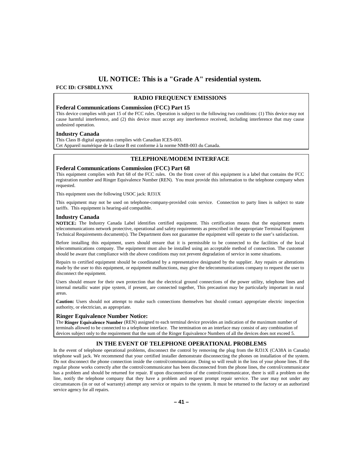#### **UL NOTICE: This is a "Grade A" residential system.**

**FCC ID: CFS8DLLYNX** 

### **RADIO FREQUENCY EMISSIONS**

#### **Federal Communications Commission (FCC) Part 15**

This device complies with part 15 of the FCC rules. Operation is subject to the following two conditions: (1) This device may not cause harmful interference, and (2) this device must accept any interference received, including interference that may cause undesired operation.

#### **Industry Canada**

This Class B digital apparatus complies with Canadian ICES-003. Cet Appareil numérique de la classe B est conforme à la norme NMB-003 du Canada.

#### **TELEPHONE/MODEM INTERFACE**

#### **Federal Communications Commission (FCC) Part 68**

This equipment complies with Part 68 of the FCC rules. On the front cover of this equipment is a label that contains the FCC registration number and Ringer Equivalence Number (REN). You must provide this information to the telephone company when requested.

This equipment uses the following USOC jack: RJ31X

This equipment may not be used on telephone-company-provided coin service. Connection to party lines is subject to state tariffs. This equipment is hearing-aid compatible.

#### **Industry Canada**

**NOTICE:** The Industry Canada Label identifies certified equipment. This certification means that the equipment meets telecommunications network protective, operational and safety requirements as prescribed in the appropriate Terminal Equipment Technical Requirements document(s). The Department does not guarantee the equipment will operate to the user's satisfaction.

Before installing this equipment, users should ensure that it is permissible to be connected to the facilities of the local telecommunications company. The equipment must also be installed using an acceptable method of connection. The customer should be aware that compliance with the above conditions may not prevent degradation of service in some situations.

Repairs to certified equipment should be coordinated by a representative designated by the supplier. Any repairs or alterations made by the user to this equipment, or equipment malfunctions, may give the telecommunications company to request the user to disconnect the equipment.

Users should ensure for their own protection that the electrical ground connections of the power utility, telephone lines and internal metallic water pipe system, if present, are connected together, This precaution may be particularly important in rural areas.

**Caution:** Users should not attempt to make such connections themselves but should contact appropriate electric inspection authority, or electrician, as appropriate.

#### **Ringer Equivalence Number Notice:**

The **Ringer Equivalence Number** (REN) assigned to each terminal device provides an indication of the maximum number of terminals allowed to be connected to a telephone interface. The termination on an interface may consist of any combination of devices subject only to the requirement that the sum of the Ringer Equivalence Numbers of all the devices does not exceed 5.

#### **IN THE EVENT OF TELEPHONE OPERATIONAL PROBLEMS**

In the event of telephone operational problems, disconnect the control by removing the plug from the RJ31X (CA38A in Canada) telephone wall jack. We recommend that your certified installer demonstrate disconnecting the phones on installation of the system. Do not disconnect the phone connection inside the control/communicator. Doing so will result in the loss of your phone lines. If the regular phone works correctly after the control/communicator has been disconnected from the phone lines, the control/communicator has a problem and should be returned for repair. If upon disconnection of the control/communicator, there is still a problem on the line, notify the telephone company that they have a problem and request prompt repair service. The user may not under any circumstances (in or out of warranty) attempt any service or repairs to the system. It must be returned to the factory or an authorized service agency for all repairs.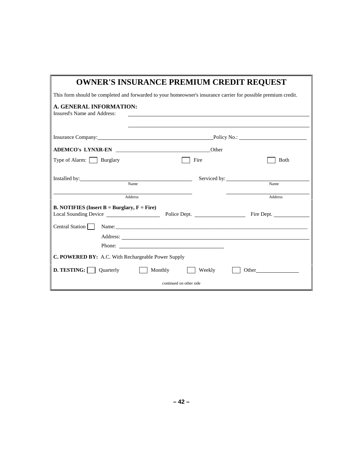|                                                                                                                | <b>OWNER'S INSURANCE PREMIUM CREDIT REQUEST</b>             |  |  |
|----------------------------------------------------------------------------------------------------------------|-------------------------------------------------------------|--|--|
| This form should be completed and forwarded to your homeowner's insurance carrier for possible premium credit. |                                                             |  |  |
| <b>A. GENERAL INFORMATION:</b><br>Insured's Name and Address:                                                  | <u> 1980 - Johann Stoff, amerikansk politiker (d. 1980)</u> |  |  |
|                                                                                                                |                                                             |  |  |
|                                                                                                                |                                                             |  |  |
| Type of Alarm:     Burglary                                                                                    | <b>B</b> oth<br>Fire                                        |  |  |
| Installed by: Name                                                                                             | Name                                                        |  |  |
| Address                                                                                                        | Address                                                     |  |  |
| <b>B. NOTIFIES</b> (Insert $B = Burglary, F = Fire$ )                                                          |                                                             |  |  |
| Central Station                                                                                                |                                                             |  |  |
|                                                                                                                |                                                             |  |  |
|                                                                                                                |                                                             |  |  |
| C. POWERED BY: A.C. With Rechargeable Power Supply                                                             |                                                             |  |  |
| <b>D. TESTING:</b> Quarterly<br>Monthly                                                                        | Weekly                                                      |  |  |
| continued on other side                                                                                        |                                                             |  |  |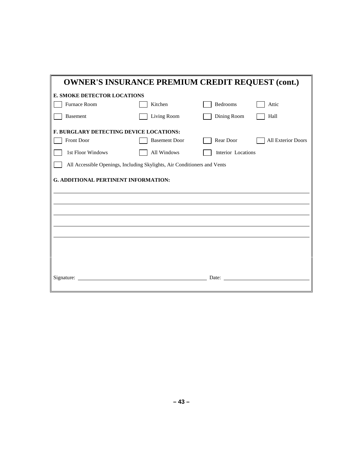| <b>OWNER'S INSURANCE PREMIUM CREDIT REQUEST (cont.)</b>                  |                      |                    |                           |
|--------------------------------------------------------------------------|----------------------|--------------------|---------------------------|
| <b>E. SMOKE DETECTOR LOCATIONS</b>                                       |                      |                    |                           |
| Furnace Room                                                             | Kitchen              | <b>Bedrooms</b>    | Attic                     |
| <b>Basement</b>                                                          | Living Room          | Dining Room        | Hall                      |
| <b>F. BURGLARY DETECTING DEVICE LOCATIONS:</b>                           |                      |                    |                           |
| Front Door                                                               | <b>Basement Door</b> | Rear Door          | <b>All Exterior Doors</b> |
| 1st Floor Windows                                                        | All Windows          | Interior Locations |                           |
| All Accessible Openings, Including Skylights, Air Conditioners and Vents |                      |                    |                           |
| G. ADDITIONAL PERTINENT INFORMATION:                                     |                      |                    |                           |
|                                                                          |                      |                    |                           |
|                                                                          |                      |                    |                           |
|                                                                          |                      |                    |                           |
|                                                                          |                      |                    |                           |
|                                                                          |                      |                    |                           |
|                                                                          |                      |                    |                           |
| Signature:                                                               |                      | Date:              |                           |
|                                                                          |                      |                    |                           |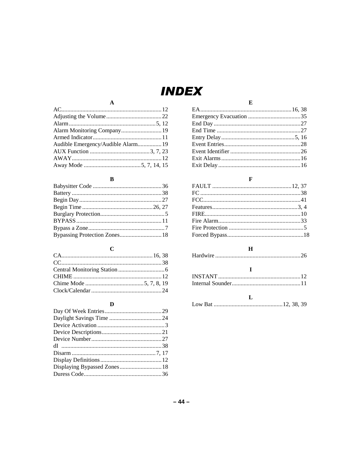## **INDEX**

### $\mathbf A$

| Alarm Monitoring Company 19        |  |
|------------------------------------|--|
|                                    |  |
| Audible Emergency/Audible Alarm 19 |  |
|                                    |  |
|                                    |  |
|                                    |  |
|                                    |  |

### $\, {\bf B}$

| Bypassing Protection Zones 18 |  |
|-------------------------------|--|

### $\mathbf C$

### $\mathbf D$

#### ${\bf E}$

### $\mathbf F$

| $\mathbf{H}$ and the set of $\mathbf{H}$ and $\mathbf{H}$ and $\mathbf{H}$ are set of $\mathbf{H}$ and $\mathbf{H}$ are set of $\mathbf{H}$ and $\mathbf{H}$ are set of $\mathbf{H}$ and $\mathbf{H}$ are set of $\mathbf{H}$ and $\mathbf{H}$ are set of $\mathbf{H}$ and $\mathbf{H$ |  |  |
|----------------------------------------------------------------------------------------------------------------------------------------------------------------------------------------------------------------------------------------------------------------------------------------|--|--|

### $\mathbf{I}$

 $\mathbf{L}$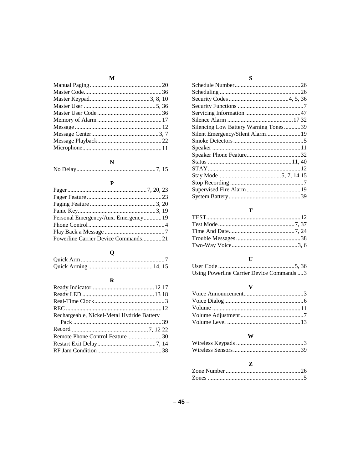### $\mathbf M$

### $\mathbf N$

### $\mathbf P$

| Personal Emergency/Aux. Emergency 19 |  |
|--------------------------------------|--|
|                                      |  |
|                                      |  |
|                                      |  |

### $\overline{\mathbf{Q}}$

### $\mathbf R$

| Rechargeable, Nickel-Metal Hydride Battery |  |
|--------------------------------------------|--|
|                                            |  |
|                                            |  |
|                                            |  |
|                                            |  |
|                                            |  |
|                                            |  |

### $\mathbf S$

| Silencing Low Battery Warning Tones39 |  |
|---------------------------------------|--|
| Silent Emergency/Silent Alarm19       |  |
|                                       |  |
|                                       |  |
|                                       |  |
|                                       |  |
|                                       |  |
|                                       |  |
|                                       |  |
|                                       |  |
|                                       |  |

### $\mathbf T$

### $\mathbf U$

Using Powerline Carrier Device Commands .... 3

### $\mathbf{V}$

### W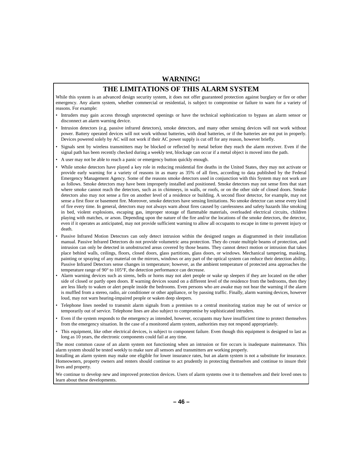#### **WARNING!**

#### **THE LIMITATIONS OF THIS ALARM SYSTEM**

While this system is an advanced design security system, it does not offer guaranteed protection against burglary or fire or other emergency. Any alarm system, whether commercial or residential, is subject to compromise or failure to warn for a variety of reasons. For example:

- Intruders may gain access through unprotected openings or have the technical sophistication to bypass an alarm sensor or disconnect an alarm warning device.
- Intrusion detectors (e.g. passive infrared detectors), smoke detectors, and many other sensing devices will not work without power. Battery operated devices will not work without batteries, with dead batteries, or if the batteries are not put in properly. Devices powered solely by AC will not work if their AC power supply is cut off for any reason, however briefly.
- Signals sent by wireless transmitters may be blocked or reflected by metal before they reach the alarm receiver. Even if the signal path has been recently checked during a weekly test, blockage can occur if a metal object is moved into the path.
- A user may not be able to reach a panic or emergency button quickly enough.
- While smoke detectors have played a key role in reducing residential fire deaths in the United States, they may not activate or provide early warning for a variety of reasons in as many as 35% of all fires, according to data published by the Federal Emergency Management Agency. Some of the reasons smoke detectors used in conjunction with this System may not work are as follows. Smoke detectors may have been improperly installed and positioned. Smoke detectors may not sense fires that start where smoke cannot reach the detectors, such as in chimneys, in walls, or roofs, or on the other side of closed doors. Smoke detectors also may not sense a fire on another level of a residence or building. A second floor detector, for example, may not sense a first floor or basement fire. Moreover, smoke detectors have sensing limitations. No smoke detector can sense every kind of fire every time. In general, detectors may not always warn about fires caused by carelessness and safety hazards like smoking in bed, violent explosions, escaping gas, improper storage of flammable materials, overloaded electrical circuits, children playing with matches, or arson. Depending upon the nature of the fire and/or the locations of the smoke detectors, the detector, even if it operates as anticipated, may not provide sufficient warning to allow all occupants to escape in time to prevent injury or death.
- Passive Infrared Motion Detectors can only detect intrusion within the designed ranges as diagrammed in their installation manual. Passive Infrared Detectors do not provide volumetric area protection. They do create multiple beams of protection, and intrusion can only be detected in unobstructed areas covered by those beams. They cannot detect motion or intrusion that takes place behind walls, ceilings, floors, closed doors, glass partitions, glass doors, or windows. Mechanical tampering, masking, painting or spraying of any material on the mirrors, windows or any part of the optical system can reduce their detection ability. Passive Infrared Detectors sense changes in temperature; however, as the ambient temperature of protected area approaches the temperature range of 90° to 105°F, the detection performance can decrease.
- Alarm warning devices such as sirens, bells or horns may not alert people or wake up sleepers if they are located on the other side of closed or partly open doors. If warning devices sound on a different level of the residence from the bedrooms, then they are less likely to waken or alert people inside the bedrooms. Even persons who are awake may not hear the warning if the alarm is muffled from a stereo, radio, air conditioner or other appliance, or by passing traffic. Finally, alarm warning devices, however loud, may not warn hearing-impaired people or waken deep sleepers.
- Telephone lines needed to transmit alarm signals from a premises to a central monitoring station may be out of service or temporarily out of service. Telephone lines are also subject to compromise by sophisticated intruders.
- Even if the system responds to the emergency as intended, however, occupants may have insufficient time to protect themselves from the emergency situation. In the case of a monitored alarm system, authorities may not respond appropriately.
- This equipment, like other electrical devices, is subject to component failure. Even though this equipment is designed to last as long as 10 years, the electronic components could fail at any time.

The most common cause of an alarm system not functioning when an intrusion or fire occurs is inadequate maintenance. This alarm system should be tested weekly to make sure all sensors and transmitters are working properly.

Installing an alarm system may make one eligible for lower insurance rates, but an alarm system is not a substitute for insurance. Homeowners, property owners and renters should continue to act prudently in protecting themselves and continue to insure their lives and property.

We continue to develop new and improved protection devices. Users of alarm systems owe it to themselves and their loved ones to learn about these developments.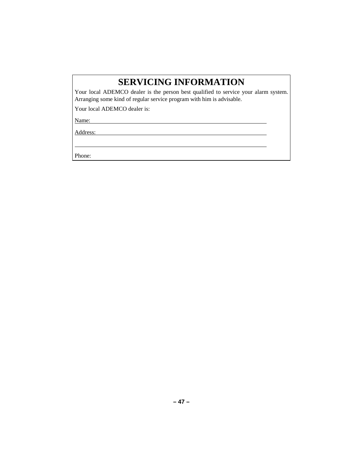### **SERVICING INFORMATION**

Your local ADEMCO dealer is the person best qualified to service your alarm system. Arranging some kind of regular service program with him is advisable.

Your local ADEMCO dealer is:

Name:

Address:

Phone: